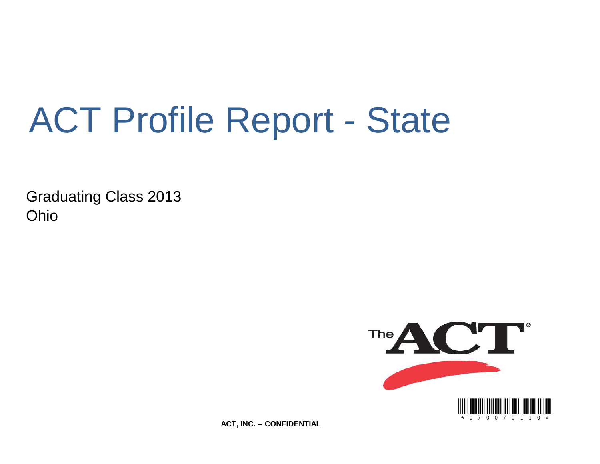# ACT Profile Report - State

Graduating Class 2013 Ohio



**ACT, INC. -- CONFIDENTIAL**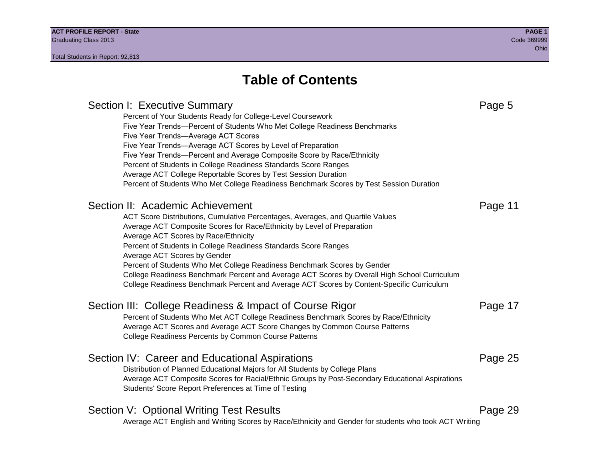## **Table of Contents**

### Section I: Executive Summary **Page 5** and the section I: Executive Summary Percent of Your Students Ready for College-Level Coursework Five Year Trends—Percent of Students Who Met College Readiness Benchmarks Five Year Trends—Average ACT Scores Five Year Trends—Average ACT Scores by Level of Preparation Five Year Trends—Percent and Average Composite Score by Race/Ethnicity Percent of Students in College Readiness Standards Score Ranges Average ACT College Reportable Scores by Test Session Duration Percent of Students Who Met College Readiness Benchmark Scores by Test Session Duration Section II: Academic Achievement **Page 11** Page 11 ACT Score Distributions, Cumulative Percentages, Averages, and Quartile Values Average ACT Composite Scores for Race/Ethnicity by Level of Preparation Average ACT Scores by Race/Ethnicity Percent of Students in College Readiness Standards Score Ranges Average ACT Scores by Gender Percent of Students Who Met College Readiness Benchmark Scores by Gender College Readiness Benchmark Percent and Average ACT Scores by Overall High School Curriculum College Readiness Benchmark Percent and Average ACT Scores by Content-Specific Curriculum Section III: College Readiness & Impact of Course Rigor Page 17 Percent of Students Who Met ACT College Readiness Benchmark Scores by Race/Ethnicity Average ACT Scores and Average ACT Score Changes by Common Course Patterns College Readiness Percents by Common Course Patterns Section IV: Career and Educational Aspirations **Page 25** Page 25 Distribution of Planned Educational Majors for All Students by College Plans Average ACT Composite Scores for Racial/Ethnic Groups by Post-Secondary Educational Aspirations Students' Score Report Preferences at Time of Testing Section V: Optional Writing Test Results **Page 29** Page 29 Average ACT English and Writing Scores by Race/Ethnicity and Gender for students who took ACT Writing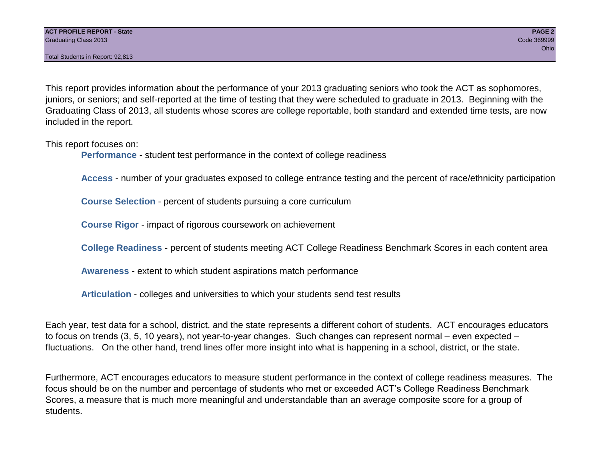This report provides information about the performance of your 2013 graduating seniors who took the ACT as sophomores, juniors, or seniors; and self-reported at the time of testing that they were scheduled to graduate in 2013. Beginning with the Graduating Class of 2013, all students whose scores are college reportable, both standard and extended time tests, are now included in the report.

This report focuses on:

**Performance** - student test performance in the context of college readiness

**Access** - number of your graduates exposed to college entrance testing and the percent of race/ethnicity participation

**Course Selection** - percent of students pursuing a core curriculum

**Course Rigor** - impact of rigorous coursework on achievement

**College Readiness** - percent of students meeting ACT College Readiness Benchmark Scores in each content area

**Awareness** - extent to which student aspirations match performance

**Articulation** - colleges and universities to which your students send test results

Each year, test data for a school, district, and the state represents a different cohort of students. ACT encourages educators to focus on trends (3, 5, 10 years), not year-to-year changes. Such changes can represent normal – even expected – fluctuations. On the other hand, trend lines offer more insight into what is happening in a school, district, or the state.

Furthermore, ACT encourages educators to measure student performance in the context of college readiness measures. The focus should be on the number and percentage of students who met or exceeded ACT's College Readiness Benchmark Scores, a measure that is much more meaningful and understandable than an average composite score for a group of students.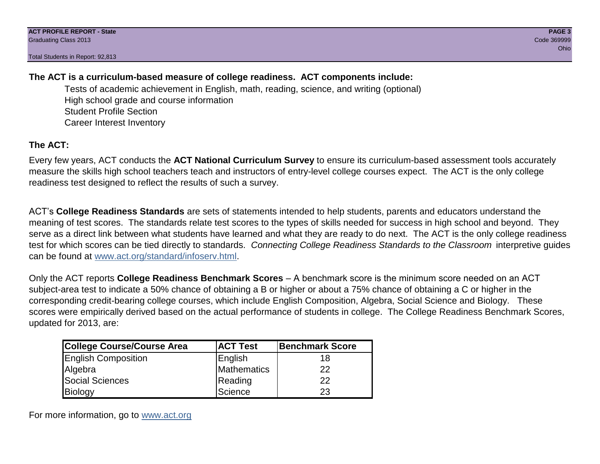### **The ACT is a curriculum-based measure of college readiness. ACT components include:**

Tests of academic achievement in English, math, reading, science, and writing (optional) High school grade and course information Student Profile Section Career Interest Inventory

### **The ACT:**

Every few years, ACT conducts the **ACT National Curriculum Survey** to ensure its curriculum-based assessment tools accurately measure the skills high school teachers teach and instructors of entry-level college courses expect. The ACT is the only college readiness test designed to reflect the results of such a survey.

ACT's **College Readiness Standards** are sets of statements intended to help students, parents and educators understand the meaning of test scores. The standards relate test scores to the types of skills needed for success in high school and beyond. They serve as a direct link between what students have learned and what they are ready to do next. The ACT is the only college readiness test for which scores can be tied directly to standards. *Connecting College Readiness Standards to the Classroom* interpretive guides can be found at www.act.org/standard/infoserv.html.

Only the ACT reports **College Readiness Benchmark Scores** – A benchmark score is the minimum score needed on an ACT subject-area test to indicate a 50% chance of obtaining a B or higher or about a 75% chance of obtaining a C or higher in the corresponding credit-bearing college courses, which include English Composition, Algebra, Social Science and Biology. These scores were empirically derived based on the actual performance of students in college. The College Readiness Benchmark Scores, updated for 2013, are:

| College Course/Course Area | <b>ACT Test</b> | <b>Benchmark Score</b> |
|----------------------------|-----------------|------------------------|
| <b>English Composition</b> | English         | 18                     |
| Algebra                    | Mathematics     | 22                     |
| <b>Social Sciences</b>     | Reading         | 22                     |
| Biology                    | Science         | 23                     |

For more information, go to www.act.org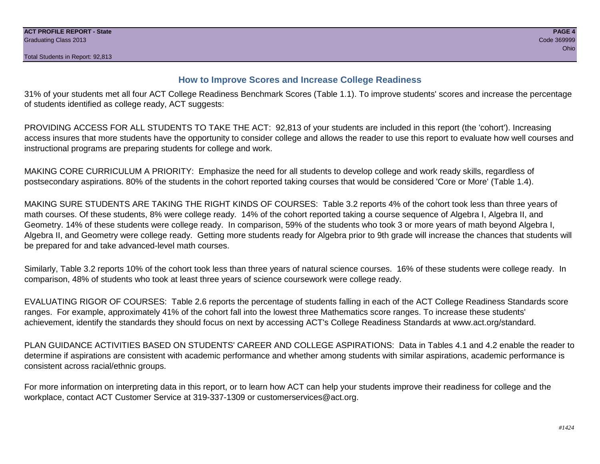#### **How to Improve Scores and Increase College Readiness**

31% of your students met all four ACT College Readiness Benchmark Scores (Table 1.1). To improve students' scores and increase the percentage of students identified as college ready, ACT suggests:

PROVIDING ACCESS FOR ALL STUDENTS TO TAKE THE ACT: 92,813 of your students are included in this report (the 'cohort'). Increasing access insures that more students have the opportunity to consider college and allows the reader to use this report to evaluate how well courses and instructional programs are preparing students for college and work.

MAKING CORE CURRICULUM A PRIORITY: Emphasize the need for all students to develop college and work ready skills, regardless of postsecondary aspirations. 80% of the students in the cohort reported taking courses that would be considered 'Core or More' (Table 1.4).

MAKING SURE STUDENTS ARE TAKING THE RIGHT KINDS OF COURSES: Table 3.2 reports 4% of the cohort took less than three years of math courses. Of these students, 8% were college ready. 14% of the cohort reported taking a course sequence of Algebra I, Algebra II, and Geometry. 14% of these students were college ready. In comparison, 59% of the students who took 3 or more years of math beyond Algebra I, Algebra II, and Geometry were college ready. Getting more students ready for Algebra prior to 9th grade will increase the chances that students will be prepared for and take advanced-level math courses.

Similarly, Table 3.2 reports 10% of the cohort took less than three years of natural science courses. 16% of these students were college ready. In comparison, 48% of students who took at least three years of science coursework were college ready.

EVALUATING RIGOR OF COURSES: Table 2.6 reports the percentage of students falling in each of the ACT College Readiness Standards score ranges. For example, approximately 41% of the cohort fall into the lowest three Mathematics score ranges. To increase these students' achievement, identify the standards they should focus on next by accessing ACT's College Readiness Standards at www.act.org/standard.

PLAN GUIDANCE ACTIVITIES BASED ON STUDENTS' CAREER AND COLLEGE ASPIRATIONS: Data in Tables 4.1 and 4.2 enable the reader to determine if aspirations are consistent with academic performance and whether among students with similar aspirations, academic performance is consistent across racial/ethnic groups.

For more information on interpreting data in this report, or to learn how ACT can help your students improve their readiness for college and the workplace, contact ACT Customer Service at 319-337-1309 or customerservices@act.org.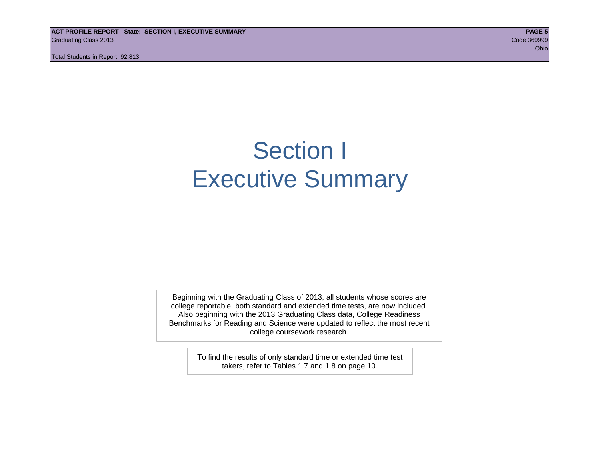**ACT PROFILE REPORT - State: SECTION I, EXECUTIVE SUMMARY PAGE 5** Graduating Class 2013 Code 369999

Total Students in Report: 92,813

ohio and the contract of the contract of the contract of the contract of the contract of the contract of the contract of the contract of the contract of the contract of the contract of the contract of the contract of the c

## Section I Executive Summary

Beginning with the Graduating Class of 2013, all students whose scores are college reportable, both standard and extended time tests, are now included. Also beginning with the 2013 Graduating Class data, College Readiness Benchmarks for Reading and Science were updated to reflect the most recent college coursework research.

> To find the results of only standard time or extended time test takers, refer to Tables 1.7 and 1.8 on page 10.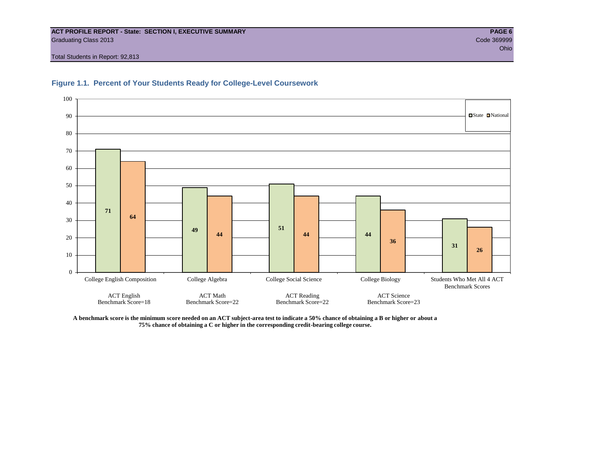#### **ACT PROFILE REPORT - State: SECTION I, EXECUTIVE SUMMARY PAGE 6** Graduating Class 2013 Code 369999

Total Students in Report: 92,813





**A benchmark score is the minimum score needed on an ACT subject-area test to indicate a 50% chance of obtaining a B or higher or about a 75% chance of obtaining a C or higher in the corresponding credit-bearing college course.**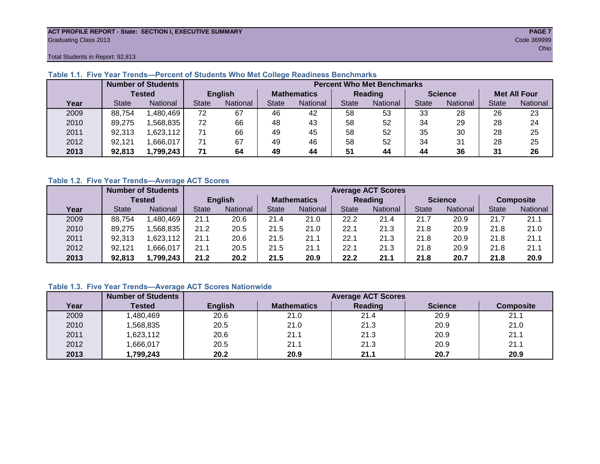#### **ACT PROFILE REPORT - State: SECTION I, EXECUTIVE SUMMARY PAGE 7** Graduating Class 2013 Code 369999

Total Students in Report: 92,813

|      |              | <b>Number of Students</b> |              | <b>Percent Who Met Benchmarks</b> |       |                    |              |          |                |          |                     |          |  |  |
|------|--------------|---------------------------|--------------|-----------------------------------|-------|--------------------|--------------|----------|----------------|----------|---------------------|----------|--|--|
|      |              | <b>Tested</b>             |              | <b>English</b>                    |       | <b>Mathematics</b> | Reading      |          | <b>Science</b> |          | <b>Met All Four</b> |          |  |  |
| Year | <b>State</b> | <b>National</b>           | <b>State</b> | National                          | State | National           | <b>State</b> | National | <b>State</b>   | National | <b>State</b>        | National |  |  |
| 2009 | 88,754       | ,480,469                  | 72           | 67                                | 46    | 42                 | 58           | 53       | 33             | 28       | 26                  | 23       |  |  |
| 2010 | 89,275       | .568.835                  | 72           | 66                                | 48    | 43                 | 58           | 52       | 34             | 29       | 28                  | 24       |  |  |
| 2011 | 92,313       | ,623,112                  |              | 66                                | 49    | 45                 | 58           | 52       | 35             | 30       | 28                  | 25       |  |  |
| 2012 | 92,121       | .666,017                  | 71           | 67                                | 49    | 46                 | 58           | 52       | 34             | 31       | 28                  | 25       |  |  |
| 2013 | 92.813       | 1,799,243                 | 71           | 64                                | 49    | 44                 | 51           | 44       | 44             | 36       | 31                  | 26       |  |  |

#### **Table 1.1. Five Year Trends—Percent of Students Who Met College Readiness Benchmarks**

#### **Table 1.2. Five Year Trends—Average ACT Scores**

|      |              | <b>Number of Students</b> |              |                |                    | <b>Average ACT Scores</b> |                |                 |                |          |                  |          |  |  |
|------|--------------|---------------------------|--------------|----------------|--------------------|---------------------------|----------------|-----------------|----------------|----------|------------------|----------|--|--|
|      |              | Tested                    |              | <b>English</b> | <b>Mathematics</b> |                           | <b>Reading</b> |                 | <b>Science</b> |          | <b>Composite</b> |          |  |  |
| Year | <b>State</b> | <b>National</b>           | <b>State</b> | National       | State              | National                  | <b>State</b>   | <b>National</b> | <b>State</b>   | National | <b>State</b>     | National |  |  |
| 2009 | 88.754       | ,480,469                  | 21.1         | 20.6           | 21.4               | 21.0                      | 22.2           | 21.4            | 21.7           | 20.9     | 21.7             | 21.1     |  |  |
| 2010 | 89,275       | .568.835                  | 21.2         | 20.5           | 21.5               | 21.0                      | 22.1           | 21.3            | 21.8           | 20.9     | 21.8             | 21.0     |  |  |
| 2011 | 92,313       | ,623,112                  | 21.1         | 20.6           | 21.5               | 21.1                      | 22.1           | 21.3            | 21.8           | 20.9     | 21.8             | 21.1     |  |  |
| 2012 | 92,121       | .666,017                  | 21.1         | 20.5           | 21.5               | 21.1                      | 22.1           | 21.3            | 21.8           | 20.9     | 21.8             | 21.1     |  |  |
| 2013 | 92,813       | 1,799,243                 | 21.2         | 20.2           | 21.5               | 20.9                      | 22.2           | 21.1            | 21.8           | 20.7     | 21.8             | 20.9     |  |  |

#### **Table 1.3. Five Year Trends—Average ACT Scores Nationwide**

|      | <b>Number of Students</b> |                | <b>Average ACT Scores</b> |         |                |                  |  |  |  |  |  |  |
|------|---------------------------|----------------|---------------------------|---------|----------------|------------------|--|--|--|--|--|--|
| Year | Tested                    | <b>English</b> | <b>Mathematics</b>        | Reading | <b>Science</b> | <b>Composite</b> |  |  |  |  |  |  |
| 2009 | ,480,469                  | 20.6           | 21.0                      | 21.4    | 20.9           | 21.1             |  |  |  |  |  |  |
| 2010 | ,568,835                  | 20.5           | 21.0                      | 21.3    | 20.9           | 21.0             |  |  |  |  |  |  |
| 2011 | ,623,112                  | 20.6           | 21.1                      | 21.3    | 20.9           | 21.1             |  |  |  |  |  |  |
| 2012 | ,666,017                  | 20.5           | 21.1                      | 21.3    | 20.9           | 21.1             |  |  |  |  |  |  |
| 2013 | ,799,243                  | 20.2           | 20.9                      | 21.1    | 20.7           | 20.9             |  |  |  |  |  |  |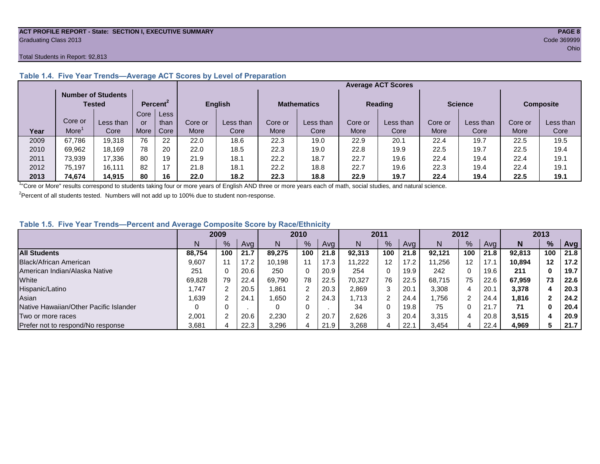#### **ACT PROFILE REPORT - State: SECTION I, EXECUTIVE SUMMARY PAGE 8** Graduating Class 2013 Code 369999

#### Total Students in Report: 92,813

|      |         | <b>Number of Students</b><br>Tested |      | Percent <sup>2</sup> |         | <b>English</b> |         | <b>Mathematics</b> |         | <b>Reading</b> | <b>Science</b> |           | <b>Composite</b> |           |
|------|---------|-------------------------------------|------|----------------------|---------|----------------|---------|--------------------|---------|----------------|----------------|-----------|------------------|-----------|
|      |         |                                     | Core | Less                 |         |                |         |                    |         |                |                |           |                  |           |
|      | Core or | Less than                           | or   | than                 | Core or | Less than      | Core or | Less than          | Core or | Less than      | Core or        | Less than | Core or          | Less than |
| Year | More    | Core                                | More | Core                 | More    | Core           | More    | Core               | More    | Core           | More           | Core      | More             | Core      |
| 2009 | 67,786  | 19,318                              | 76   | 22                   | 22.0    | 18.6           | 22.3    | 19.0               | 22.9    | 20.1           | 22.4           | 19.7      | 22.5             | 19.5      |
| 2010 | 69,962  | 18.169                              | 78   | 20                   | 22.0    | 18.5           | 22.3    | 19.0               | 22.8    | 19.9           | 22.5           | 19.7      | 22.5             | 19.4      |
| 2011 | 73,939  | 17,336                              | 80   | 19                   | 21.9    | 18.1           | 22.2    | 18.7               | 22.7    | 19.6           | 22.4           | 19.4      | 22.4             | 19.1      |
| 2012 | 75,197  | 16.111                              | 82   | 17                   | 21.8    | 18.7           | 22.2    | 18.8               | 22.7    | 19.6           | 22.3           | 19.4      | 22.4             | 19.7      |
| 2013 | 74,674  | 14.915                              | 80   | 16                   | 22.0    | 18.2           | 22.3    | 18.8               | 22.9    | 19.7           | 22.4           | 19.4      | 22.5             | 19.1      |

#### **Table 1.4. Five Year Trends—Average ACT Scores by Level of Preparation**

<sup>1</sup>"Core or More" results correspond to students taking four or more years of English AND three or more years each of math, social studies, and natural science.

 $2$ Percent of all students tested. Numbers will not add up to 100% due to student non-response.

#### **Table 1.5. Five Year Trends—Percent and Average Composite Score by Race/Ethnicity**

|                                        |        | 2009 |      |        | 2010          |      | 2011   |     | 2012 |        |     | 2013 |        |         |      |
|----------------------------------------|--------|------|------|--------|---------------|------|--------|-----|------|--------|-----|------|--------|---------|------|
|                                        | N.     | $\%$ | Avg  |        | $\frac{9}{6}$ | Avg  | N      | %   | Avg  | N      | %   | Ava  | N      | %       | Avg  |
| <b>All Students</b>                    | 88.754 | 100  | 21.7 | 89.275 | 100           | 21.8 | 92.313 | 100 | 21.8 | 92.121 | 100 | 21.8 | 92.813 | 100     | 21.8 |
| Black/African American                 | 9,607  |      | 17.2 | 10.198 | 11            | 17.3 | 1.222  | 12  | 17.2 | 11.256 | 12  |      | 10.894 | $12 \,$ | 17.2 |
| American Indian/Alaska Native          | 251    |      | 20.6 | 250    | 0             | 20.9 | 254    | 0   | 19.9 | 242    | 0   | 19.6 | 211    |         | 19.7 |
| White                                  | 69,828 | 79   | 22.4 | 69.790 | 78            | 22.5 | 70.327 | 76  | 22.5 | 68.715 | 75  | 22.6 | 67,959 | 73      | 22.6 |
| Hispanic/Latino                        | .747   |      | 20.5 | 1,861  | $\sqrt{2}$    | 20.3 | 2,869  | 3   | 20.1 | 3,308  | 4   | 20.1 | 3,378  | 4       | 20.3 |
| Asian                                  | .639   |      | 24.1 | 1,650  | 2             | 24.3 | .713   |     | 24.4 | .756   | 2   | 24.4 | 1.816  |         | 24.2 |
| Native Hawaiian/Other Pacific Islander |        |      |      |        | 0             |      | 34     | 0   | 19.8 | 75     | U   | 21.7 | 71     |         | 20.4 |
| Two or more races                      | 2,001  |      | 20.6 | 2,230  | $\sim$        | 20.7 | 2,626  | 3   | 20.4 | 3,315  | 4   | 20.8 | 3,515  | д       | 20.9 |
| Prefer not to respond/No response      | 3,681  |      | 22.3 | 3,296  | 4             | 21.9 | 3,268  |     | 22.1 | 3,454  | 4   | 22.4 | 4,969  |         | 21.7 |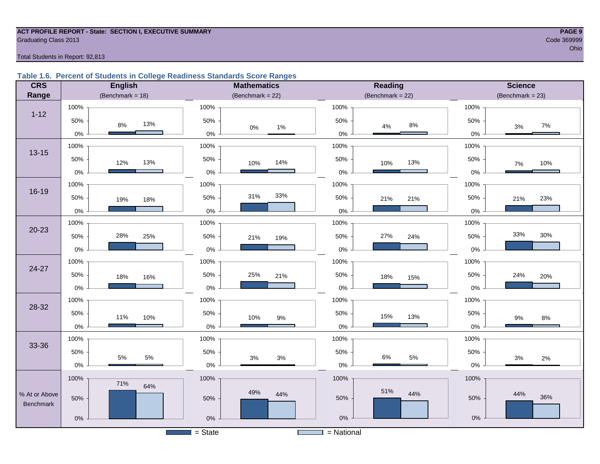## **ACT PROFILE REPORT - State: SECTION I, EXECUTIVE SUMMARY PAGE 9** Graduating Class 2013 Code 369999

#### Total Students in Report: 92,813

#### **Table 1.6. Percent of Students in College Readiness Standards Score Ranges**

| <b>CRS</b>                 | <b>English</b>       | <b>Mathematics</b>    | <b>Reading</b>        | <b>Science</b>       |
|----------------------------|----------------------|-----------------------|-----------------------|----------------------|
| Range                      | (Benchmark = $18$ )  | (Benchmark = $22$ )   | (Benchmark = $22$ )   | $(Benchmark = 23)$   |
|                            | 100%                 | 100%                  | 100%                  | 100%                 |
| $1 - 12$                   | 50%<br>13%<br>$8\%$  | 50%<br>$0\%$<br>1%    | 50%<br>$8\%$<br>$4\%$ | 50%<br>$7\%$<br>$3%$ |
|                            | $0\%$                | $0\%$                 | $0\%$                 | $0\%$                |
| $13 - 15$                  | 100%                 | 100%                  | 100%                  | 100%                 |
|                            | 50%<br>13%<br>12%    | 50%<br>14%<br>10%     | 50%<br>13%<br>10%     | 50%<br>10%<br>$7\%$  |
|                            | $0\%$                | $0\%$                 | 0%                    | 0%                   |
|                            | 100%                 | 100%                  | 100%                  | 100%                 |
| $16 - 19$                  | 50%<br>19%<br>18%    | 33%<br>31%<br>50%     | 50%<br>21%<br>21%     | 50%<br>23%<br>21%    |
|                            | $0\%$                | $0\%$                 | $0\%$                 | 0%                   |
|                            | 100%                 | 100%                  | 100%                  | 100%                 |
| $20 - 23$                  | 28%<br>50%<br>25%    | 50%<br>21%<br>19%     | 27%<br>50%<br>24%     | 33%<br>30%<br>50%    |
|                            | $0\%$                | $0\%$                 | $0\%$                 | $0\%$                |
|                            | 100%                 | 100%                  | 100%                  | 100%                 |
| 24-27                      | 50%<br>18%<br>16%    | 50%<br>25%<br>21%     | 50%<br>18%<br>15%     | 50%<br>24%<br>20%    |
|                            | $0\%$                | $0\%$                 | 0%                    | 0%                   |
|                            | 100%                 | 100%                  | 100%                  | 100%                 |
| 28-32                      | 50%<br>11%<br>10%    | 50%<br>10%            | 50%<br>15%<br>13%     | 50%                  |
|                            | 0%                   | $9\%$<br>$0\%$        | $0\%$                 | 9%<br>$8\%$<br>$0\%$ |
|                            | 100%                 | 100%                  | 100%                  | 100%                 |
| 33-36                      | 50%                  | 50%                   | 50%                   | 50%                  |
|                            | $5\%$<br>5%<br>$0\%$ | $3%$<br>$3%$<br>$0\%$ | $6\%$<br>$5\%$<br>0%  | 3%<br>2%<br>$0\%$    |
|                            | 100%                 | 100%                  | 100%                  | 100%                 |
|                            | 71%<br>64%           | 49%                   | 51%                   |                      |
| % At or Above<br>Benchmark | 50%                  | 44%<br>50%            | 44%<br>50%            | 44%<br>36%<br>50%    |
|                            |                      |                       | $0\%$                 |                      |
|                            | $0\%$                | $0\%$                 |                       | $0\%$                |
|                            |                      | $=$ State             | $=$ National          |                      |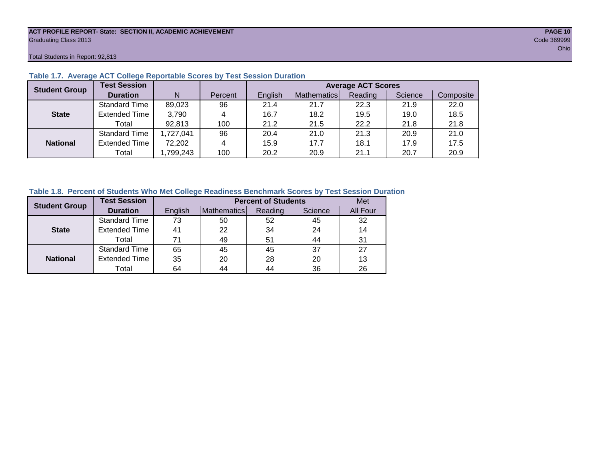#### **ACT PROFILE REPORT- State: SECTION II, ACADEMIC ACHIEVEMENT PAGE 10** Graduating Class 2013 Code 369999

Total Students in Report: 92,813

| <b>Student Group</b> | <b>Test Session</b>  |           |         | <b>Average ACT Scores</b> |             |         |         |           |  |  |  |  |  |
|----------------------|----------------------|-----------|---------|---------------------------|-------------|---------|---------|-----------|--|--|--|--|--|
|                      | <b>Duration</b>      | N         | Percent | English                   | Mathematics | Reading | Science | Composite |  |  |  |  |  |
|                      | <b>Standard Time</b> | 89,023    | 96      | 21.4                      | 21.7        | 22.3    | 21.9    | 22.0      |  |  |  |  |  |
| <b>State</b>         | <b>Extended Time</b> | 3,790     | 4       | 16.7                      | 18.2        | 19.5    | 19.0    | 18.5      |  |  |  |  |  |
|                      | Total                | 92,813    | 100     | 21.2                      | 21.5        | 22.2    | 21.8    | 21.8      |  |  |  |  |  |
|                      | <b>Standard Time</b> | 1,727,041 | 96      | 20.4                      | 21.0        | 21.3    | 20.9    | 21.0      |  |  |  |  |  |
| <b>National</b>      | <b>Extended Time</b> | 72,202    | 4       | 15.9                      | 17.7        | 18.1    | 17.9    | 17.5      |  |  |  |  |  |
|                      | Total                | ,799,243  | 100     | 20.2                      | 20.9        | 21.1    | 20.7    | 20.9      |  |  |  |  |  |

#### **Table 1.7. Average ACT College Reportable Scores by Test Session Duration**

#### **Table 1.8. Percent of Students Who Met College Readiness Benchmark Scores by Test Session Duration**

| <b>Student Group</b> | <b>Test Session</b>  |         | Met         |         |         |          |
|----------------------|----------------------|---------|-------------|---------|---------|----------|
|                      | <b>Duration</b>      | English | Mathematics | Reading | Science | All Four |
|                      | Standard Time        | 73      | 50          | 52      | 45      | 32       |
| <b>State</b>         | <b>Extended Time</b> | 41      | 22          | 34      | 24      | 14       |
|                      | Total                | 71      | 49          | 51      | 44      | 31       |
|                      | Standard Time        | 65      | 45          | 45      | 37      | 27       |
| <b>National</b>      | <b>Extended Time</b> | 35      | 20          | 28      | 20      | 13       |
|                      | Total                | 64      | 44          | 44      | 36      | 26       |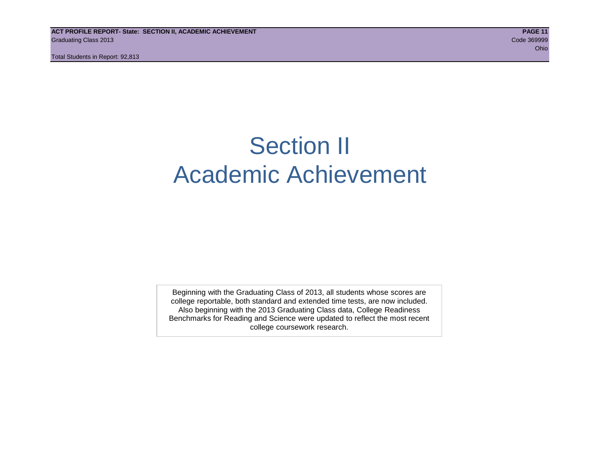## Section II Academic Achievement

Beginning with the Graduating Class of 2013, all students whose scores are college reportable, both standard and extended time tests, are now included. Also beginning with the 2013 Graduating Class data, College Readiness Benchmarks for Reading and Science were updated to reflect the most recent college coursework research.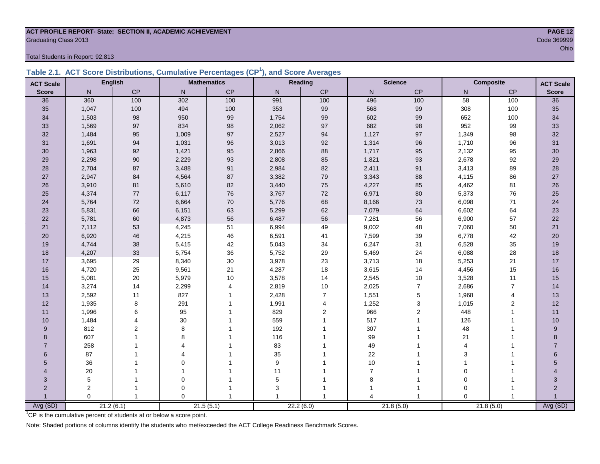### **ACT PROFILE REPORT- State: SECTION II, ACADEMIC ACHIEVEMENT PAGE 12** Graduating Class 2013 Code 369999

Total Students in Report: 92,813

|  | Table 2.1. ACT Score Distributions, Cumulative Percentages (CP <sup>1</sup> ), and Score Averages |  |  |  |
|--|---------------------------------------------------------------------------------------------------|--|--|--|
|  |                                                                                                   |  |  |  |

| <b>ACT Scale</b> |                | <b>English</b> |                          | <b>Mathematics</b>      |       | Reading        | <b>Science</b>          |                | Composite      | <b>ACT Scale</b> |                           |
|------------------|----------------|----------------|--------------------------|-------------------------|-------|----------------|-------------------------|----------------|----------------|------------------|---------------------------|
| <b>Score</b>     | N.             | CP             | $\mathsf{N}$             | CP                      | N     | CP             | N                       | CP             | N              | CP               | <b>Score</b>              |
| 36               | 360            | 100            | 302                      | 100                     | 991   | 100            | 496                     | 100            | 58             | 100              | 36                        |
| 35               | 1,047          | 100            | 494                      | 100                     | 353   | 99             | 568                     | 99             | 308            | 100              | 35                        |
| 34               | 1,503          | 98             | 950                      | 99                      | 1,754 | 99             | 602                     | 99             | 652            | 100              | 34                        |
| 33               | 1,569          | 97             | 834                      | 98                      | 2,062 | 97             | 682                     | 98             | 952            | 99               | 33                        |
| 32               | 1,484          | 95             | 1,009                    | 97                      | 2,527 | 94             | 1,127                   | 97             | 1,349          | 98               | 32                        |
| 31               | 1,691          | 94             | 1,031                    | 96                      | 3,013 | 92             | 1,314                   | 96             | 1,710          | 96               | 31                        |
| 30               | 1,963          | 92             | 1,421                    | 95                      | 2,866 | 88             | 1,717                   | 95             | 2,132          | 95               | 30                        |
| 29               | 2,298          | $90\,$         | 2,229                    | 93                      | 2,808 | 85             | 1,821                   | 93             | 2,678          | 92               | 29                        |
| 28               | 2,704          | 87             | 3,488                    | 91                      | 2,984 | 82             | 2,411                   | 91             | 3,413          | 89               | 28                        |
| 27               | 2,947          | 84             | 4,564                    | 87                      | 3,382 | 79             | 3,343                   | 88             | 4,115          | 86               | 27                        |
| 26               | 3,910          | 81             | 5,610                    | 82                      | 3,440 | 75             | 4,227                   | 85             | 4,462          | 81               | 26                        |
| 25               | 4,374          | 77             | 6,117                    | 76                      | 3,767 | 72             | 6,971                   | 80             | 5,373          | 76               | 25                        |
| 24               | 5,764          | $72\,$         | 6,664                    | 70                      | 5,776 | 68             | 8,166                   | 73             | 6,098          | $71$             | 24                        |
| 23               | 5,831          | 66             | 6,151                    | 63                      | 5,299 | 62             | 7,079                   | 64             | 6,602          | 64               | 23                        |
| 22               | 5,781          | 60             | 4,873                    | 56                      | 6,487 | 56             | 7,281                   | 56             | 6,900          | 57               | 22                        |
| 21               | 7,112          | 53             | 4,245                    | 51                      | 6,994 | 49             | 9,002                   | 48             | 7,060          | 50               | 21                        |
| 20               | 6,920          | 46             | 4,215                    | 46                      | 6,591 | 41             | 7,599                   | 39             | 6,778          | 42               | 20                        |
| 19               | 4,744          | 38             | 5,415                    | 42                      | 5,043 | 34             | 6,247                   | 31             | 6,528          | 35               | 19                        |
| 18               | 4,207          | 33             | 5,754                    | 36                      | 5,752 | 29             | 5,469                   | 24             | 6,088          | 28               | 18                        |
| 17               | 3,695          | 29             | 8,340                    | 30                      | 3,978 | 23             | 3,713                   | 18             | 5,253          | 21               | 17                        |
| 16               | 4,720          | 25             | 9,561                    | 21                      | 4,287 | 18             | 3,615                   | 14             | 4,456          | 15               | 16                        |
| 15               | 5,081          | 20             | 5,979                    | 10                      | 3,578 | 14             | 2,545                   | $10$           | 3,528          | 11               | 15                        |
| 14               | 3,274          | 14             | 2,299                    | $\overline{\mathbf{4}}$ | 2,819 | $10$           | 2,025                   | $\overline{7}$ | 2,686          | $\overline{7}$   | 14                        |
| 13               | 2,592          | 11             | 827                      | $\mathbf{1}$            | 2,428 | $\overline{7}$ | 1,551                   | $\sqrt{5}$     | 1,968          | 4                | 13                        |
| 12               | 1,935          | 8              | 291                      |                         | 1,991 | 4              | 1,252                   | $\mathsf 3$    | 1,015          | 2                | 12                        |
| 11               | 1,996          | 6              | 95                       |                         | 829   | $\overline{2}$ | 966                     | $\overline{c}$ | 448            | 1                | 11                        |
| 10               | 1,484          |                | 30                       |                         | 559   |                | 517                     | 1              | 126            | 1                | 10                        |
| 9                | 812            | $\overline{2}$ | 8                        |                         | 192   |                | 307                     |                | 48             |                  | 9                         |
| 8                | 607            |                | 8                        |                         | 116   |                | 99                      |                | 21             |                  | 8                         |
| $\overline{7}$   | 258            |                | $\boldsymbol{\varDelta}$ |                         | 83    |                | 49                      |                | $\overline{4}$ |                  | $\overline{7}$            |
| 6                | 87             |                | Δ                        |                         | 35    |                | 22                      |                | 3              |                  | 6                         |
| 5                | 36             |                | $\Omega$                 |                         | 9     |                | 10                      |                | 1              |                  | $5\,$                     |
| 4                | 20             |                |                          |                         | 11    |                | $\overline{7}$          |                | $\mathbf 0$    |                  |                           |
| 3                | 5              |                | $\mathbf 0$              |                         | 5     |                | 8                       |                | $\mathbf 0$    | 1                | $\ensuremath{\mathsf{3}}$ |
| $\overline{2}$   | $\overline{c}$ | 1              | $\mathbf 0$              |                         | 3     |                |                         |                | $\Omega$       | 1                | $\sqrt{2}$                |
|                  | $\Omega$       | $\mathbf{1}$   | $\Omega$                 |                         |       |                | $\overline{\mathbf{A}}$ | $\overline{1}$ | $\Omega$       | $\mathbf{1}$     | $\overline{1}$            |
| Avg (SD)         |                | 21.2(6.1)      |                          | 21.5(5.1)               |       | 22.2(6.0)      | 21.8(5.0)               |                |                | 21.8(5.0)        | Avg (SD)                  |

<sup>1</sup>CP is the cumulative percent of students at or below a score point.

Note: Shaded portions of columns identify the students who met/exceeded the ACT College Readiness Benchmark Scores.

ohio and the contract of the contract of the contract of the contract of the contract of the contract of the contract of the contract of the contract of the contract of the contract of the contract of the contract of the c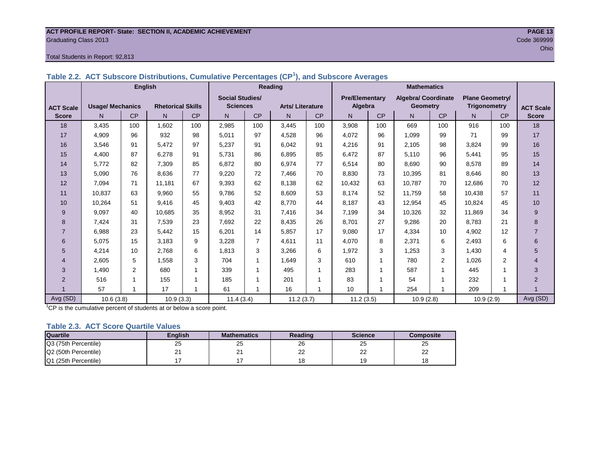#### **ACT PROFILE REPORT- State: SECTION II, ACADEMIC ACHIEVEMENT PAGE 13** Graduating Class 2013 Code 369999

#### Total Students in Report: 92,813

|                  |                         | <b>English</b> |                          |     | <b>Reading</b>         |                |                        |           | <b>Mathematics</b>    |           |                            |                |                        |           |                  |
|------------------|-------------------------|----------------|--------------------------|-----|------------------------|----------------|------------------------|-----------|-----------------------|-----------|----------------------------|----------------|------------------------|-----------|------------------|
|                  |                         |                |                          |     | <b>Social Studies/</b> |                |                        |           | <b>Pre/Elementary</b> |           | <b>Algebra/ Coordinate</b> |                | <b>Plane Geometry/</b> |           |                  |
| <b>ACT Scale</b> | <b>Usage/ Mechanics</b> |                | <b>Rhetorical Skills</b> |     | <b>Sciences</b>        |                | <b>Arts/Literature</b> |           | Algebra               |           | Geometry                   |                | <b>Trigonometry</b>    |           | <b>ACT Scale</b> |
| <b>Score</b>     | N.                      | <b>CP</b>      | N                        | CP  | N                      | <b>CP</b>      | $\mathsf{N}$           | <b>CP</b> | N                     | <b>CP</b> | N.                         | <b>CP</b>      | N.                     | <b>CP</b> | <b>Score</b>     |
| 18               | 3.435                   | 100            | 1.602                    | 100 | 2.985                  | 100            | 3.445                  | 100       | 3,908                 | 100       | 669                        | 100            | 916                    | 100       | 18               |
| 17               | 4,909                   | 96             | 932                      | 98  | 5,011                  | 97             | 4,528                  | 96        | 4,072                 | 96        | 1,099                      | 99             | 71                     | 99        | 17               |
| 16               | 3,546                   | 91             | 5,472                    | 97  | 5,237                  | 91             | 6.042                  | 91        | 4,216                 | 91        | 2.105                      | 98             | 3.824                  | 99        | 16               |
| 15               | 4.400                   | 87             | 6,278                    | 91  | 5,731                  | 86             | 6.895                  | 85        | 6,472                 | 87        | 5.110                      | 96             | 5.441                  | 95        | 15               |
| 14               | 5,772                   | 82             | 7.309                    | 85  | 6,872                  | 80             | 6.974                  | 77        | 6,514                 | 80        | 8.690                      | 90             | 8.578                  | 89        | 14               |
| 13               | 5,090                   | 76             | 8.636                    | 77  | 9,220                  | 72             | 7.466                  | 70        | 8,830                 | 73        | 10,395                     | 81             | 8.646                  | 80        | 13               |
| 12               | 7,094                   | 71             | 11,181                   | 67  | 9,393                  | 62             | 8,138                  | 62        | 10,432                | 63        | 10,787                     | 70             | 12,686                 | 70        | 12               |
| 11               | 10,837                  | 63             | 9,960                    | 55  | 9,786                  | 52             | 8.609                  | 53        | 8,174                 | 52        | 11,759                     | 58             | 10,438                 | 57        | 11               |
| 10               | 10,264                  | 51             | 9.416                    | 45  | 9,403                  | 42             | 8.770                  | 44        | 8,187                 | 43        | 12,954                     | 45             | 10,824                 | 45        | 10               |
| 9                | 9,097                   | 40             | 10,685                   | 35  | 8,952                  | 31             | 7,416                  | 34        | 7,199                 | 34        | 10,326                     | 32             | 11,869                 | 34        | 9                |
| 8                | 7,424                   | 31             | 7,539                    | 23  | 7,692                  | 22             | 8.435                  | 26        | 8,701                 | 27        | 9,286                      | 20             | 8.783                  | 21        | 8                |
| $\overline{7}$   | 6.988                   | 23             | 5.442                    | 15  | 6,201                  | 14             | 5.857                  | 17        | 9,080                 | 17        | 4,334                      | 10             | 4.902                  | 12        | $\overline{7}$   |
| 6                | 5,075                   | 15             | 3.183                    | 9   | 3,228                  | $\overline{7}$ | 4.611                  | 11        | 4,070                 | 8         | 2,371                      | 6              | 2,493                  | 6         | 6                |
| 5                | 4,214                   | 10             | 2.768                    | 6   | 1,813                  | 3              | 3,266                  | 6         | 1,972                 | 3         | 1,253                      | 3              | 1.430                  | 4         | 5                |
| 4                | 2,605                   | 5              | 1,558                    | 3   | 704                    |                | 1.649                  | 3         | 610                   | 1         | 780                        | $\overline{2}$ | 1.026                  | 2         | 4                |
| 3                | 1.490                   | 2              | 680                      | 1   | 339                    |                | 495                    | 1         | 283                   | 1         | 587                        | 1              | 445                    |           | 3                |
| $\overline{2}$   | 516                     | 1              | 155                      | 1   | 185                    |                | 201                    |           | 83                    | 1         | 54                         |                | 232                    |           | $\overline{2}$   |
|                  | 57                      | -1             | 17                       | 1   | 61                     |                | 16                     | -1        | 10                    | 1         | 254                        | 1              | 209                    | 1         |                  |
| Avg (SD)         | 10.6(3.8)               |                | 10.9(3.3)                |     | 11.4(3.4)              |                | 11.2(3.7)              |           | 11.2(3.5)             |           | 10.9(2.8)                  |                | 10.9(2.9)              |           | Avg (SD)         |

**Table 2.2. ACT Subscore Distributions, Cumulative Percentages (CP<sup>1</sup> ), and Subscore Averages**

 $1^{\circ}$ CP is the cumulative percent of students at or below a score point.

#### **Table 2.3. ACT Score Quartile Values**

| <b>Quartile</b>      | Enalish | <b>Mathematics</b> | Reading  | <b>Science</b>      | Composite |
|----------------------|---------|--------------------|----------|---------------------|-----------|
| Q3 (75th Percentile) | 25      | 25                 | 26       | 25                  | 25        |
| Q2 (50th Percentile) |         | <u>_</u>           | nr<br>∠∠ | $\sim$<br><u>__</u> | nn<br>--  |
| Q1 (25th Percentile) |         |                    |          | 19                  | 18        |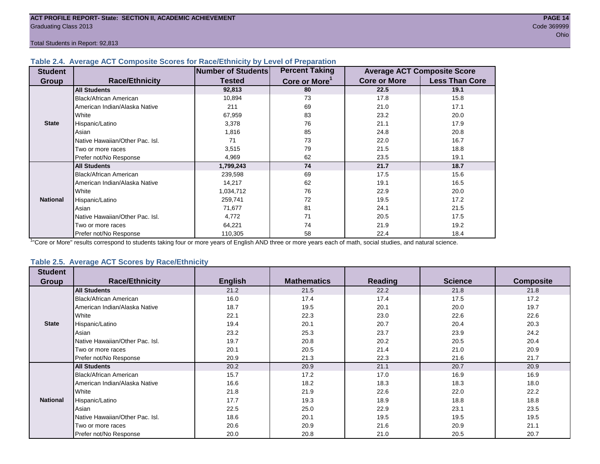#### **Table 2.4. Average ACT Composite Scores for Race/Ethnicity by Level of Preparation**

| <b>Student</b>  |                                 | <b>Number of Students</b> | <b>Percent Taking</b>     |                     | <b>Average ACT Composite Score</b> |
|-----------------|---------------------------------|---------------------------|---------------------------|---------------------|------------------------------------|
| <b>Group</b>    | <b>Race/Ethnicity</b>           | <b>Tested</b>             | Core or More <sup>1</sup> | <b>Core or More</b> | <b>Less Than Core</b>              |
|                 | <b>All Students</b>             | 92,813                    | 80                        | 22.5                | 19.1                               |
|                 | <b>Black/African American</b>   | 10,894                    | 73                        | 17.8                | 15.8                               |
|                 | American Indian/Alaska Native   | 211                       | 69                        | 21.0                | 17.1                               |
|                 | White                           | 67,959                    | 83                        | 23.2                | 20.0                               |
| <b>State</b>    | Hispanic/Latino                 | 3,378                     | 76                        | 21.1                | 17.9                               |
|                 | Asian                           | 1,816                     | 85                        | 24.8                | 20.8                               |
|                 | Native Hawaiian/Other Pac. Isl. | 71                        | 73                        | 22.0                | 16.7                               |
|                 | I Two or more races             | 3,515                     | 79                        | 21.5                | 18.8                               |
|                 | Prefer not/No Response          | 4,969                     | 62                        | 23.5                | 19.1                               |
|                 | <b>All Students</b>             | 1,799,243                 | 74                        | 21.7                | 18.7                               |
|                 | Black/African American          | 239,598                   | 69                        | 17.5                | 15.6                               |
|                 | American Indian/Alaska Native   | 14,217                    | 62                        | 19.1                | 16.5                               |
|                 | <b>White</b>                    | 1,034,712                 | 76                        | 22.9                | 20.0                               |
| <b>National</b> | Hispanic/Latino                 | 259,741                   | 72                        | 19.5                | 17.2                               |
|                 | Asian                           | 71,677                    | 81                        | 24.1                | 21.5                               |
|                 | Native Hawaiian/Other Pac. Isl. | 4,772                     | 71                        | 20.5                | 17.5                               |
|                 | Two or more races               | 64,221                    | 74                        | 21.9                | 19.2                               |
|                 | Prefer not/No Response          | 110,305                   | 58                        | 22.4                | 18.4                               |

<sup>1</sup>"Core or More" results correspond to students taking four or more years of English AND three or more years each of math, social studies, and natural science.

#### **Table 2.5. Average ACT Scores by Race/Ethnicity**

| <b>Student</b>  | <b>Race/Ethnicity</b>           |                | <b>Mathematics</b> | <b>Reading</b> | <b>Science</b> | <b>Composite</b> |
|-----------------|---------------------------------|----------------|--------------------|----------------|----------------|------------------|
| <b>Group</b>    |                                 | <b>English</b> |                    |                |                |                  |
|                 | <b>All Students</b>             | 21.2           | 21.5               | 22.2           | 21.8           | 21.8             |
|                 | <b>Black/African American</b>   | 16.0           | 17.4               | 17.4           | 17.5           | 17.2             |
|                 | American Indian/Alaska Native   | 18.7           | 19.5               | 20.1           | 20.0           | 19.7             |
|                 | White                           | 22.1           | 22.3               | 23.0           | 22.6           | 22.6             |
| <b>State</b>    | Hispanic/Latino                 | 19.4           | 20.1               | 20.7           | 20.4           | 20.3             |
|                 | Asian                           | 23.2           | 25.3               | 23.7           | 23.9           | 24.2             |
|                 | Native Hawaiian/Other Pac. Isl. | 19.7           | 20.8               | 20.2           | 20.5           | 20.4             |
|                 | Two or more races               | 20.1           | 20.5               | 21.4           | 21.0           | 20.9             |
|                 | Prefer not/No Response          | 20.9           | 21.3               | 22.3           | 21.6           | 21.7             |
|                 | <b>All Students</b>             | 20.2           | 20.9               | 21.1           | 20.7           | 20.9             |
|                 | Black/African American          | 15.7           | 17.2               | 17.0           | 16.9           | 16.9             |
|                 | American Indian/Alaska Native   | 16.6           | 18.2               | 18.3           | 18.3           | 18.0             |
|                 | White                           | 21.8           | 21.9               | 22.6           | 22.0           | 22.2             |
| <b>National</b> | Hispanic/Latino                 | 17.7           | 19.3               | 18.9           | 18.8           | 18.8             |
|                 | Asian                           | 22.5           | 25.0               | 22.9           | 23.1           | 23.5             |
|                 | Native Hawaiian/Other Pac. Isl. | 18.6           | 20.1               | 19.5           | 19.5           | 19.5             |
|                 | Two or more races               | 20.6           | 20.9               | 21.6           | 20.9           | 21.1             |
|                 | Prefer not/No Response          | 20.0           | 20.8               | 21.0           | 20.5           | 20.7             |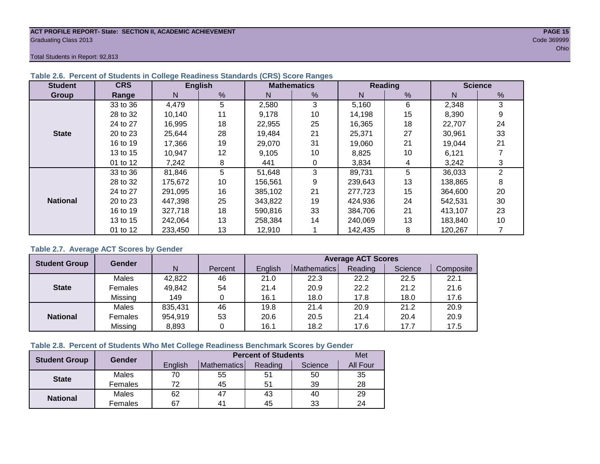#### **ACT PROFILE REPORT- State: SECTION II, ACADEMIC ACHIEVEMENT PAGE 15** Graduating Class 2013 Code 369999

Total Students in Report: 92,813

| <b>Student</b>  | <b>CRS</b> |         | <b>English</b> |         | <b>Mathematics</b> |         | Reading | <b>Science</b> |                |  |
|-----------------|------------|---------|----------------|---------|--------------------|---------|---------|----------------|----------------|--|
| Group           | Range      | N.      | %              | N       | %                  | N       | %       | N              | %              |  |
|                 | 33 to 36   | 4,479   | 5.             | 2,580   | 3                  | 5,160   | 6       | 2,348          | 3              |  |
|                 | 28 to 32   | 10.140  | 11             | 9.178   | 10                 | 14,198  | 15      | 8,390          | 9              |  |
|                 | 24 to 27   | 16,995  | 18             | 22,955  | 25                 | 16,365  | 18      | 22,707         | 24             |  |
| <b>State</b>    | 20 to 23   | 25,644  | 28             | 19,484  | 21                 | 25,371  | 27      | 30,961         | 33             |  |
|                 | 16 to 19   | 17,366  | 19             | 29.070  | 31                 | 19.060  | 21      | 19,044         | 21             |  |
|                 | 13 to 15   | 10,947  | 12             | 9,105   | 10                 | 8,825   | 10      | 6,121          |                |  |
|                 | 01 to 12   | 7.242   | 8              | 441     | 0                  | 3,834   | 4       | 3,242          |                |  |
|                 | 33 to 36   | 81,846  | 5              | 51,648  | 3                  | 89,731  | 5       | 36,033         | $\overline{2}$ |  |
|                 | 28 to 32   | 175,672 | 10             | 156,561 | 9                  | 239,643 | 13      | 138,865        | 8              |  |
|                 | 24 to 27   | 291.095 | 16             | 385,102 | 21                 | 277,723 | 15      | 364,600        | 20             |  |
| <b>National</b> | 20 to 23   | 447,398 | 25             | 343,822 | 19                 | 424,936 | 24      | 542,531        | 30             |  |
|                 | 16 to 19   | 327,718 | 18             | 590,816 | 33                 | 384.706 | 21      | 413,107        | 23             |  |
|                 | 13 to 15   | 242.064 | 13             | 258.384 | 14                 | 240.069 | 13      | 183,840        | 10             |  |
|                 | 01 to 12   | 233,450 | 13             | 12,910  |                    | 142,435 | 8       | 120,267        |                |  |

#### **Table 2.6. Percent of Students in College Readiness Standards (CRS) Score Ranges**

#### **Table 2.7. Average ACT Scores by Gender**

| <b>Student Group</b> | <b>Gender</b> |         |         | <b>Average ACT Scores</b> |             |         |         |           |  |  |  |  |
|----------------------|---------------|---------|---------|---------------------------|-------------|---------|---------|-----------|--|--|--|--|
|                      |               | N       | Percent | Enalish                   | Mathematics | Reading | Science | Composite |  |  |  |  |
|                      | Males         | 42,822  | 46      | 21.0                      | 22.3        | 22.2    | 22.5    | 22.1      |  |  |  |  |
| <b>State</b>         | Females       | 49,842  | 54      | 21.4                      | 20.9        | 22.2    | 21.2    | 21.6      |  |  |  |  |
|                      | Missing       | 149     |         | 16.1                      | 18.0        | 17.8    | 18.0    | 17.6      |  |  |  |  |
|                      | Males         | 835,431 | 46      | 19.8                      | 21.4        | 20.9    | 21.2    | 20.9      |  |  |  |  |
| <b>National</b>      | Females       | 954,919 | 53      | 20.6                      | 20.5        | 21.4    | 20.4    | 20.9      |  |  |  |  |
|                      | Missing       | 8,893   | 0       | 16.1                      | 18.2        | 17.6    | 17.7    | 17.5      |  |  |  |  |

#### **Table 2.8. Percent of Students Who Met College Readiness Benchmark Scores by Gender**

| <b>Student Group</b> | <b>Gender</b> |         | Met                |         |         |          |
|----------------------|---------------|---------|--------------------|---------|---------|----------|
|                      |               | English | <b>Mathematics</b> | Reading | Science | All Four |
| <b>State</b>         | Males         | 70      | 55                 | 51      | 50      | 35       |
|                      | Females       | 70      | 45                 | 51      | 39      | 28       |
|                      | Males         | 62      | 47                 | 43      | 40      | 29       |
| <b>National</b>      | Females       | 67      | 4 <sup>1</sup>     | 45      | 33      | 24       |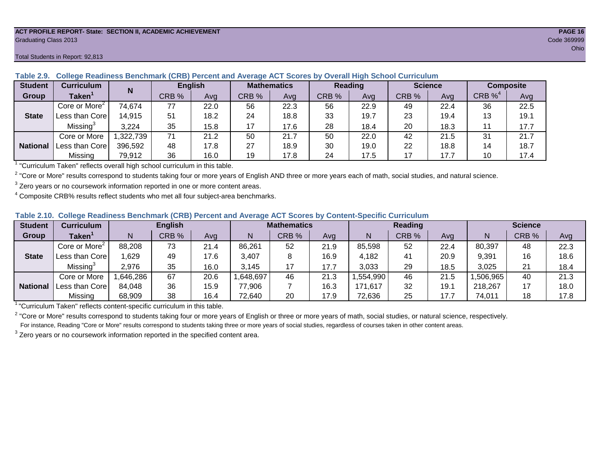#### **ACT PROFILE REPORT- State: SECTION II, ACADEMIC ACHIEVEMENT PAGE 16** Graduating Class 2013 Code 369999

#### Total Students in Report: 92,813

| <b>Student</b>  | <b>Curriculum</b>                                                        | N        |       | <b>English</b> | <b>Mathematics</b> |      | Reading |      | <b>Science</b> |      | <b>Composite</b> |      |
|-----------------|--------------------------------------------------------------------------|----------|-------|----------------|--------------------|------|---------|------|----------------|------|------------------|------|
| Group           | Taken'                                                                   |          | CRB % | Avg            | CRB %              | Avg  | CRB %   | Avg  | CRB %          | Avg  | CRB $\%^4$       | Avg  |
|                 | Core or More <sup>2</sup>                                                | 74,674   | 77    | 22.0           | 56                 | 22.3 | 56      | 22.9 | 49             | 22.4 | 36               | 22.5 |
| <b>State</b>    | Less than Core                                                           | 14,915   | 51    | 18.2           | 24                 | 18.8 | 33      | 19.7 | 23             | 19.4 | 13               | 19.1 |
|                 | Missing <sup>3</sup>                                                     | 3,224    | 35    | 15.8           | 17                 | 17.6 | 28      | 18.4 | 20             | 18.3 |                  | 17.7 |
|                 | Core or More                                                             | ,322,739 | 71    | 21.2           | 50                 | 21.7 | 50      | 22.0 | 42             | 21.5 | 31               | 21.7 |
| <b>National</b> | Less than Corel                                                          | 396.592  | 48    | 17.8           | 27                 | 18.9 | 30      | 19.0 | 22             | 18.8 | 14               | 18.7 |
|                 | Missing                                                                  | 79,912   | 36    | 16.0           | 19                 | 17.8 | 24      | 17.5 | 17             | 17.7 | 10               | 17.4 |
|                 | "Curriculum Token" reflecte overall bigh school ourriculum in this toble |          |       |                |                    |      |         |      |                |      |                  |      |

**Table 2.9. College Readiness Benchmark (CRB) Percent and Average ACT Scores by Overall High School Curriculum**

"Curriculum Taken" reflects overall high school curriculum in this table.

 $^2$  "Core or More" results correspond to students taking four or more years of English AND three or more years each of math, social studies, and natural science.

 $3$  Zero years or no coursework information reported in one or more content areas.

 $4$  Composite CRB% results reflect students who met all four subject-area benchmarks.

|  |  |  |  |  | Table 2.10. College Readiness Benchmark (CRB) Percent and Average ACT Scores by Content-Specific Curriculum |
|--|--|--|--|--|-------------------------------------------------------------------------------------------------------------|
|--|--|--|--|--|-------------------------------------------------------------------------------------------------------------|

| <b>Student</b>  | Curriculum                    |          | <b>English</b> |      | <b>Mathematics</b> |       |      | <b>Reading</b> |       |      | <b>Science</b> |       |      |
|-----------------|-------------------------------|----------|----------------|------|--------------------|-------|------|----------------|-------|------|----------------|-------|------|
| Group           | $\mathsf{Taken}^{\mathsf{T}}$ |          | CRB %          | Avg  | N                  | CRB % | Avg  | N              | CRB % | Avg  | N              | CRB % | Avg  |
|                 | Core or More <sup>2</sup>     | 88,208   | 73             | 21.4 | 86,261             | 52    | 21.9 | 85,598         | 52    | 22.4 | 80,397         | 48    | 22.3 |
| <b>State</b>    | Less than Corel               | ,629     | 49             | 17.6 | 3,407              |       | 16.9 | 4,182          | 41    | 20.9 | 9,391          | 16    | 18.6 |
|                 | Missing®                      | 2,976    | 35             | 16.0 | 3.145              | 17    | 17.7 | 3,033          | 29    | 18.5 | 3,025          | 21    | 18.4 |
|                 | Core or More                  | ,646,286 | 67             | 20.6 | 648,697            | 46    | 21.3 | .554,990       | 46    | 21.5 | ,506,965       | 40    | 21.3 |
| <b>National</b> | Less than Core                | 84,048   | 36             | 15.9 | 77,906             |       | 16.3 | 171,617        | 32    | 19.1 | 218,267        | 17    | 18.0 |
|                 | Missing                       | 68,909   | 38             | 16.4 | 72,640             | 20    | 17.9 | 72,636         | 25    | 17.7 | 74,011         | 18    | 17.8 |

<sup>1</sup>"Curriculum Taken" reflects content-specific curriculum in this table.

<sup>2</sup> "Core or More" results correspond to students taking four or more years of English or three or more years of math, social studies, or natural science, respectively. For instance, Reading "Core or More" results correspond to students taking three or more years of social studies, regardless of courses taken in other content areas.

 $3$  Zero years or no coursework information reported in the specified content area.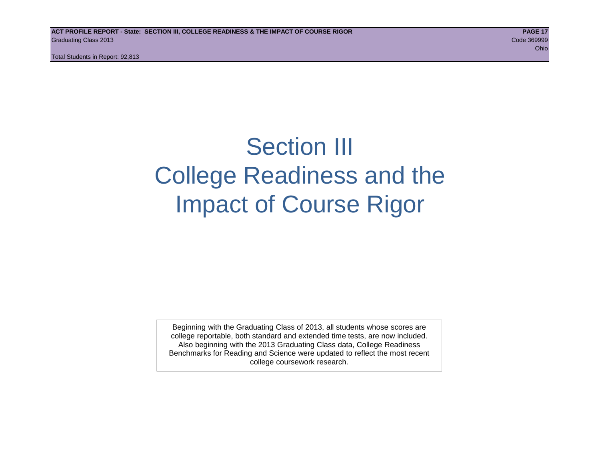## Section III College Readiness and the Impact of Course Rigor

Beginning with the Graduating Class of 2013, all students whose scores are college reportable, both standard and extended time tests, are now included. Also beginning with the 2013 Graduating Class data, College Readiness Benchmarks for Reading and Science were updated to reflect the most recent college coursework research.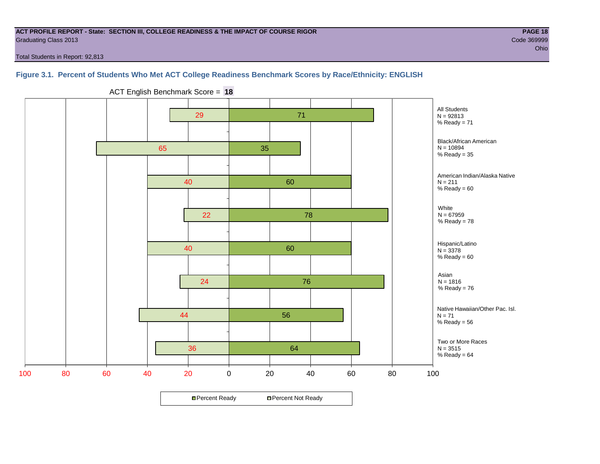#### **ACT PROFILE REPORT - State: SECTION III, COLLEGE READINESS & THE IMPACT OF COURSE RIGOR PAGE 18** Graduating Class 2013 Code 369999

Total Students in Report: 92,813

#### **Figure 3.1. Percent of Students Who Met ACT College Readiness Benchmark Scores by Race/Ethnicity: ENGLISH**



ACT English Benchmark Score = **18**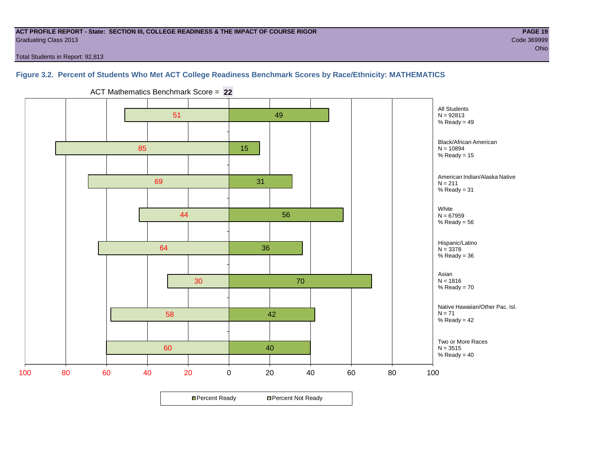#### **ACT PROFILE REPORT - State: SECTION III, COLLEGE READINESS & THE IMPACT OF COURSE RIGOR PAGE 19** Graduating Class 2013 Code 369999

Total Students in Report: 92,813

#### **Figure 3.2. Percent of Students Who Met ACT College Readiness Benchmark Scores by Race/Ethnicity: MATHEMATICS**



ACT Mathematics Benchmark Score = **22**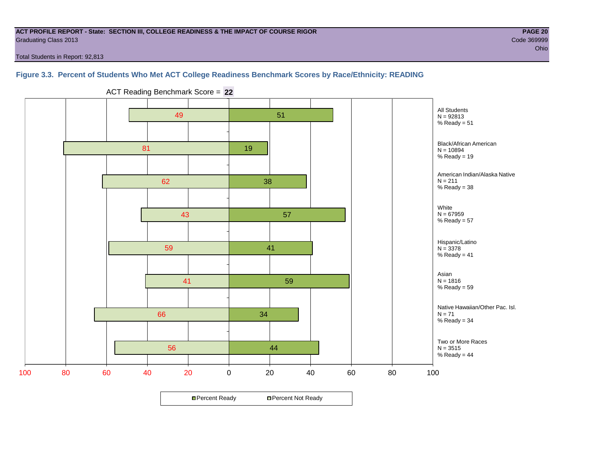#### **ACT PROFILE REPORT - State: SECTION III, COLLEGE READINESS & THE IMPACT OF COURSE RIGOR PAGE 20** Graduating Class 2013 Code 369999

Total Students in Report: 92,813

#### **Figure 3.3. Percent of Students Who Met ACT College Readiness Benchmark Scores by Race/Ethnicity: READING**



ACT Reading Benchmark Score = **22**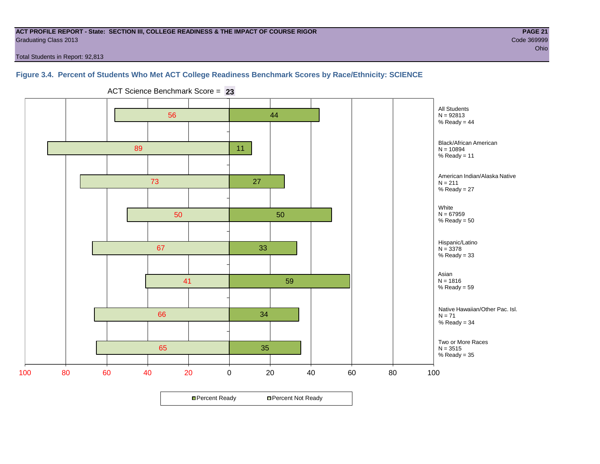#### **ACT PROFILE REPORT - State: SECTION III, COLLEGE READINESS & THE IMPACT OF COURSE RIGOR PAGE 21** Graduating Class 2013 Code 369999

Total Students in Report: 92,813

#### **Figure 3.4. Percent of Students Who Met ACT College Readiness Benchmark Scores by Race/Ethnicity: SCIENCE**



ACT Science Benchmark Score = **23**

**□ Percent Ready DPercent Not Ready**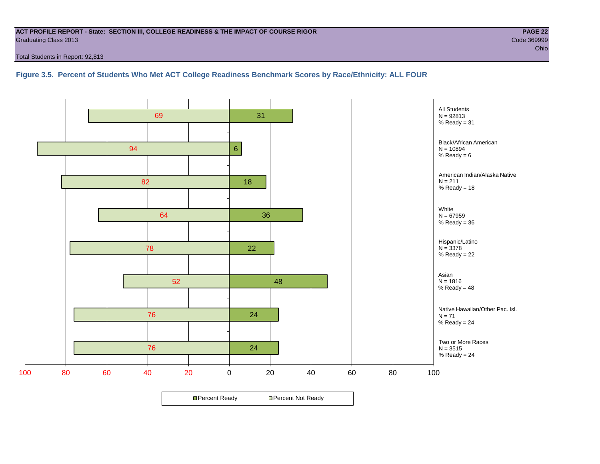#### **ACT PROFILE REPORT - State: SECTION III, COLLEGE READINESS & THE IMPACT OF COURSE RIGOR PAGE 22** Graduating Class 2013 Code 369999

Total Students in Report: 92,813

**Figure 3.5. Percent of Students Who Met ACT College Readiness Benchmark Scores by Race/Ethnicity: ALL FOUR**

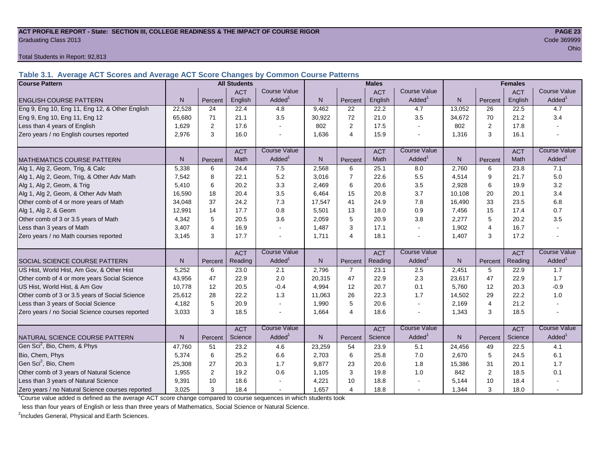#### **ACT PROFILE REPORT - State: SECTION III, COLLEGE READINESS & THE IMPACT OF COURSE RIGOR PAGE 23** Graduating Class 2013 Code 369999

Total Students in Report: 92,813

**Table 3.1. Average ACT Scores and Average ACT Score Changes by Common Course Patterns**

| <b>Course Pattern</b>                            |        |                | <b>All Students</b> |                     |              |                | <b>Males</b> |                          | <b>Females</b> |                |            |                        |
|--------------------------------------------------|--------|----------------|---------------------|---------------------|--------------|----------------|--------------|--------------------------|----------------|----------------|------------|------------------------|
|                                                  |        |                | <b>ACT</b>          | <b>Course Value</b> |              |                | <b>ACT</b>   | <b>Course Value</b>      |                |                | <b>ACT</b> | <b>Course Value</b>    |
| <b>ENGLISH COURSE PATTERN</b>                    | N.     | Percent        | English             | Added <sup>1</sup>  | N            | Percent        | English      | Added <sup>1</sup>       | $\mathsf{N}$   | Percent        | English    | Added <sup>1</sup>     |
| Eng 9, Eng 10, Eng 11, Eng 12, & Other English   | 22,528 | 24             | 22.4                | 4.8                 | 9,462        | 22             | 22.2         | 4.7                      | 13,052         | 26             | 22.5       | 4.7                    |
| Eng 9, Eng 10, Eng 11, Eng 12                    | 65,680 | 71             | 21.1                | 3.5                 | 30,922       | 72             | 21.0         | 3.5                      | 34,672         | 70             | 21.2       | 3.4                    |
| Less than 4 years of English                     | 1.629  | 2              | 17.6                |                     | 802          | 2              | 17.5         | $\mathbf{r}$             | 802            | 2              | 17.8       |                        |
| Zero years / no English courses reported         | 2,976  | 3              | 16.0                |                     | 1,636        | $\overline{4}$ | 15.9         | $\blacksquare$           | 1,316          | 3              | 16.1       |                        |
|                                                  |        |                | <b>ACT</b>          | <b>Course Value</b> |              |                | <b>ACT</b>   | <b>Course Value</b>      |                |                | <b>ACT</b> | <b>Course Value</b>    |
| <b>MATHEMATICS COURSE PATTERN</b>                | N.     | Percent        | Math                | Added <sup>1</sup>  | $\mathsf{N}$ | Percent        | Math         | Added <sup>1</sup>       | $\mathsf{N}$   | Percent        | Math       | A d d e d <sup>1</sup> |
| Alg 1, Alg 2, Geom, Trig, & Calc                 | 5,338  | 6              | 24.4                | 7.5                 | 2,568        | 6              | 25.1         | 8.0                      | 2,760          | 6              | 23.8       | 7.1                    |
| Alg 1, Alg 2, Geom, Trig, & Other Adv Math       | 7,542  | 8              | 22.1                | 5.2                 | 3,016        | $\overline{7}$ | 22.6         | 5.5                      | 4,514          | 9              | 21.7       | 5.0                    |
| Alg 1, Alg 2, Geom, & Trig                       | 5,410  | 6              | 20.2                | 3.3                 | 2,469        | 6              | 20.6         | 3.5                      | 2,928          | 6              | 19.9       | 3.2                    |
| Alg 1, Alg 2, Geom, & Other Adv Math             | 16,590 | 18             | 20.4                | 3.5                 | 6,464        | 15             | 20.8         | 3.7                      | 10,108         | 20             | 20.1       | 3.4                    |
| Other comb of 4 or more years of Math            | 34,048 | 37             | 24.2                | 7.3                 | 17,547       | 41             | 24.9         | 7.8                      | 16,490         | 33             | 23.5       | 6.8                    |
| Alg 1, Alg 2, & Geom                             | 12,991 | 14             | 17.7                | 0.8                 | 5,501        | 13             | 18.0         | 0.9                      | 7,456          | 15             | 17.4       | 0.7                    |
| Other comb of 3 or 3.5 years of Math             | 4.342  | 5              | 20.5                | 3.6                 | 2,059        | 5              | 20.9         | 3.8                      | 2,277          | 5              | 20.2       | 3.5                    |
| Less than 3 years of Math                        | 3,407  | $\overline{4}$ | 16.9                |                     | 1,487        | 3              | 17.1         | $\tilde{\phantom{a}}$    | 1,902          | $\overline{4}$ | 16.7       |                        |
| Zero years / no Math courses reported            | 3,145  | 3              | 17.7                |                     | 1,711        | $\overline{4}$ | 18.1         | $\overline{\phantom{a}}$ | 1,407          | 3              | 17.2       |                        |
|                                                  |        |                | <b>ACT</b>          | <b>Course Value</b> |              |                | <b>ACT</b>   | <b>Course Value</b>      |                |                | <b>ACT</b> | <b>Course Value</b>    |
| <b>I</b> SOCIAL SCIENCE COURSE PATTERN           | N      | Percent        | Reading             | Added <sup>1</sup>  | $\mathsf{N}$ | Percent        | Reading      | Added <sup>1</sup>       | $\mathsf{N}$   | Percent        | Reading    | Added <sup>1</sup>     |
| US Hist, World Hist, Am Gov, & Other Hist        | 5,252  | 6              | 23.0                | 2.1                 | 2,796        | $\overline{7}$ | 23.1         | 2.5                      | 2,451          | 5              | 22.9       | 1.7                    |
| Other comb of 4 or more years Social Science     | 43,956 | 47             | 22.9                | 2.0                 | 20,315       | 47             | 22.9         | 2.3                      | 23,617         | 47             | 22.9       | 1.7                    |
| US Hist, World Hist, & Am Gov                    | 10,778 | 12             | 20.5                | $-0.4$              | 4,994        | 12             | 20.7         | 0.1                      | 5,760          | 12             | 20.3       | $-0.9$                 |
| Other comb of 3 or 3.5 years of Social Science   | 25,612 | 28             | 22.2                | 1.3                 | 11,063       | 26             | 22.3         | 1.7                      | 14,502         | 29             | 22.2       | 1.0                    |
| Less than 3 years of Social Science              | 4,182  | 5              | 20.9                |                     | 1,990        | 5              | 20.6         | $\blacksquare$           | 2,169          | $\overline{4}$ | 21.2       |                        |
| Zero years / no Social Science courses reported  | 3.033  | 3              | 18.5                |                     | 1,664        | $\overline{4}$ | 18.6         | $\overline{\phantom{a}}$ | 1,343          | 3              | 18.5       |                        |
|                                                  |        |                | <b>ACT</b>          | <b>Course Value</b> |              |                | <b>ACT</b>   | <b>Course Value</b>      |                |                | <b>ACT</b> | <b>Course Value</b>    |
| <b>I</b> NATURAL SCIENCE COURSE PATTERN          | N.     | Percent        | Science             | Added <sup>1</sup>  | N            | Percent        | Science      | Added <sup>1</sup>       | N              | Percent        | Science    | A d d e d <sup>1</sup> |
| Gen Sci <sup>2</sup> , Bio, Chem, & Phys         | 47,760 | 51             | 23.2                | 4.6                 | 23,259       | 54             | 23.9         | 5.1                      | 24,456         | 49             | 22.5       | 4.1                    |
| Bio, Chem, Phys                                  | 5,374  | 6              | 25.2                | 6.6                 | 2,703        | 6              | 25.8         | 7.0                      | 2,670          | 5              | 24.5       | 6.1                    |
| Gen Sci <sup>2</sup> , Bio, Chem                 | 25,308 | 27             | 20.3                | 1.7                 | 9,877        | 23             | 20.6         | 1.8                      | 15,386         | 31             | 20.1       | 1.7                    |
| Other comb of 3 years of Natural Science         | 1,955  | 2              | 19.2                | 0.6                 | 1,105        | 3              | 19.8         | 1.0                      | 842            | 2              | 18.5       | 0.1                    |
| Less than 3 years of Natural Science             | 9,391  | 10             | 18.6                |                     | 4,221        | 10             | 18.8         |                          | 5,144          | 10             | 18.4       |                        |
| Zero years / no Natural Science courses reported | 3,025  | 3              | 18.4                |                     | 1,657        | $\overline{4}$ | 18.8         | $\sim$                   | 1,344          | 3              | 18.0       |                        |

<sup>1</sup>Course value added is defined as the average ACT score change compared to course sequences in which students took

less than four years of English or less than three years of Mathematics, Social Science or Natural Science.

<sup>2</sup>Includes General, Physical and Earth Sciences.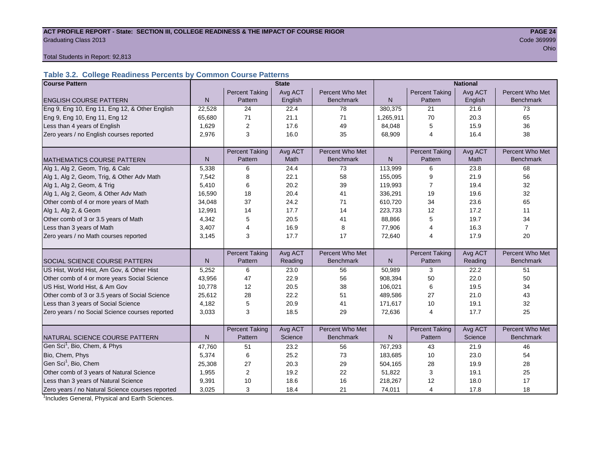## ACT PROFILE REPORT - State: SECTION III, COLLEGE READINESS & THE IMPACT OF COURSE RIGOR **PAGE 24** Graduating Class 2013 Code 369999

ohio and the contract of the contract of the contract of the contract of the contract of the contract of the contract of the contract of the contract of the contract of the contract of the contract of the contract of the c

Total Students in Report: 92,813

#### **Table 3.2. College Readiness Percents by Common Course Patterns**

| <b>Course Pattern</b>                            |              |                         | <b>State</b> |                  |              |                       | <b>National</b> |                  |
|--------------------------------------------------|--------------|-------------------------|--------------|------------------|--------------|-----------------------|-----------------|------------------|
|                                                  |              | <b>Percent Taking</b>   | Avg ACT      | Percent Who Met  |              | <b>Percent Taking</b> | Avg ACT         | Percent Who Met  |
| <b>ENGLISH COURSE PATTERN</b>                    | $\mathsf{N}$ | Pattern                 | English      | <b>Benchmark</b> | N            | Pattern               | English         | <b>Benchmark</b> |
| Eng 9, Eng 10, Eng 11, Eng 12, & Other English   | 22,528       | 24                      | 22.4         | 78               | 380,375      | 21                    | 21.6            | 73               |
| Eng 9, Eng 10, Eng 11, Eng 12                    | 65,680       | 71                      | 21.1         | 71               | 1,265,911    | 70                    | 20.3            | 65               |
| Less than 4 years of English                     | 1,629        | 2                       | 17.6         | 49               | 84,048       | 5                     | 15.9            | 36               |
| Zero years / no English courses reported         | 2,976        | 3                       | 16.0         | 35               | 68,909       | $\overline{4}$        | 16.4            | 38               |
|                                                  |              |                         |              |                  |              |                       |                 |                  |
|                                                  |              | <b>Percent Taking</b>   | Avg ACT      | Percent Who Met  |              | <b>Percent Taking</b> | Avg ACT         | Percent Who Met  |
| <b>MATHEMATICS COURSE PATTERN</b>                | N            | Pattern                 | <b>Math</b>  | <b>Benchmark</b> | N            | Pattern               | Math            | <b>Benchmark</b> |
| Alg 1, Alg 2, Geom, Trig, & Calc                 | 5,338        | 6                       | 24.4         | 73               | 113,999      | 6                     | 23.8            | 68               |
| Alg 1, Alg 2, Geom, Trig, & Other Adv Math       | 7,542        | 8                       | 22.1         | 58               | 155,095      | 9                     | 21.9            | 56               |
| Alg 1, Alg 2, Geom, & Trig                       | 5,410        | 6                       | 20.2         | 39               | 119,993      | 7                     | 19.4            | 32               |
| Alg 1, Alg 2, Geom, & Other Adv Math             | 16,590       | 18                      | 20.4         | 41               | 336,291      | 19                    | 19.6            | 32               |
| Other comb of 4 or more years of Math            | 34,048       | 37                      | 24.2         | 71               | 610,720      | 34                    | 23.6            | 65               |
| Alg 1, Alg 2, & Geom                             | 12,991       | 14                      | 17.7         | 14               | 223,733      | 12                    | 17.2            | 11               |
| Other comb of 3 or 3.5 years of Math             | 4,342        | 5                       | 20.5         | 41               | 88,866       | 5                     | 19.7            | 34               |
| Less than 3 years of Math                        | 3,407        | $\overline{4}$          | 16.9         | 8                | 77,906       | 4                     | 16.3            | $\overline{7}$   |
| Zero years / no Math courses reported            | 3,145        | 3                       | 17.7         | 17               | 72,640       | 4                     | 17.9            | 20               |
|                                                  |              |                         |              |                  |              |                       |                 |                  |
|                                                  |              | <b>Percent Taking</b>   | Avg ACT      | Percent Who Met  |              | <b>Percent Taking</b> | Avg ACT         | Percent Who Met  |
| SOCIAL SCIENCE COURSE PATTERN                    | N            | Pattern                 | Reading      | <b>Benchmark</b> | $\mathsf{N}$ | Pattern               | Reading         | <b>Benchmark</b> |
| US Hist, World Hist, Am Gov, & Other Hist        | 5,252        | 6                       | 23.0         | 56               | 50,989       | 3                     | 22.2            | 51               |
| Other comb of 4 or more years Social Science     | 43,956       | 47                      | 22.9         | 56               | 908,394      | 50                    | 22.0            | 50               |
| US Hist, World Hist, & Am Gov                    | 10,778       | 12                      | 20.5         | 38               | 106,021      | 6                     | 19.5            | 34               |
| Other comb of 3 or 3.5 years of Social Science   | 25,612       | 28                      | 22.2         | 51               | 489,586      | 27                    | 21.0            | 43               |
| Less than 3 years of Social Science              | 4,182        | 5                       | 20.9         | 41               | 171,617      | 10                    | 19.1            | 32               |
| Zero years / no Social Science courses reported  | 3,033        | 3                       | 18.5         | 29               | 72,636       | $\overline{4}$        | 17.7            | 25               |
|                                                  |              |                         |              |                  |              |                       |                 |                  |
|                                                  |              | <b>Percent Taking</b>   | Avg ACT      | Percent Who Met  |              | <b>Percent Taking</b> | Avg ACT         | Percent Who Met  |
| NATURAL SCIENCE COURSE PATTERN                   | N            | Pattern                 | Science      | <b>Benchmark</b> | N.           | Pattern               | Science         | <b>Benchmark</b> |
| Gen Sci <sup>1</sup> , Bio, Chem, & Phys         | 47,760       | 51                      | 23.2         | 56               | 767,293      | 43                    | 21.9            | 46               |
| Bio, Chem, Phys                                  | 5,374        | 6                       | 25.2         | 73               | 183,685      | 10                    | 23.0            | 54               |
| Gen Sci <sup>1</sup> , Bio, Chem                 | 25,308       | 27                      | 20.3         | 29               | 504,165      | 28                    | 19.9            | 28               |
| Other comb of 3 years of Natural Science         | 1,955        | $\overline{\mathbf{c}}$ | 19.2         | 22               | 51,822       | 3                     | 19.1            | 25               |
| Less than 3 years of Natural Science             | 9,391        | 10                      | 18.6         | 16               | 218,267      | 12                    | 18.0            | 17               |
| Zero years / no Natural Science courses reported | 3,025        | 3                       | 18.4         | 21               | 74,011       | 4                     | 17.8            | 18               |

<sup>1</sup>Includes General, Physical and Earth Sciences.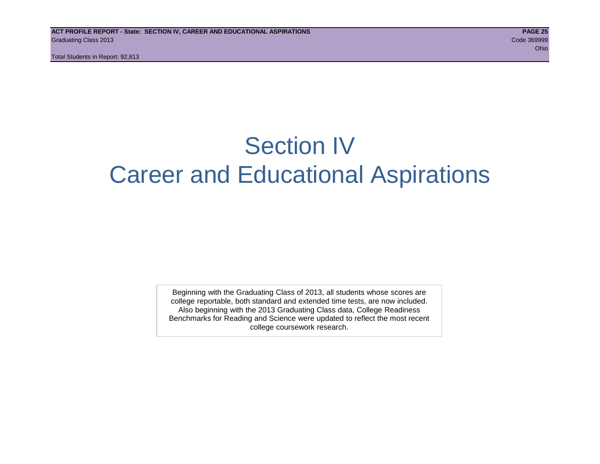## Section IV Career and Educational Aspirations

Beginning with the Graduating Class of 2013, all students whose scores are college reportable, both standard and extended time tests, are now included. Also beginning with the 2013 Graduating Class data, College Readiness Benchmarks for Reading and Science were updated to reflect the most recent college coursework research.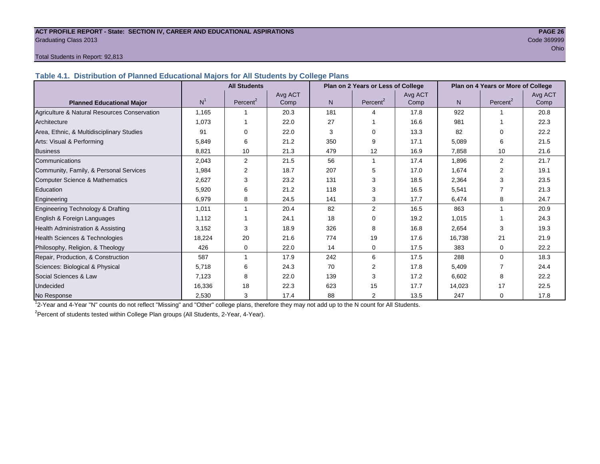#### **ACT PROFILE REPORT - State: SECTION IV, CAREER AND EDUCATIONAL ASPIRATIONS PAGE 26** Graduating Class 2013 Code 369999

#### Total Students in Report: 92,813

**Table 4.1. Distribution of Planned Educational Majors for All Students by College Plans**

|                                              | <b>All Students</b><br>Plan on 2 Years or Less of College |                      |         |                |                      |         |                | Plan on 4 Years or More of College |         |
|----------------------------------------------|-----------------------------------------------------------|----------------------|---------|----------------|----------------------|---------|----------------|------------------------------------|---------|
|                                              |                                                           |                      | Avg ACT |                |                      | Avg ACT |                |                                    | Avg ACT |
| <b>Planned Educational Major</b>             | N <sup>1</sup>                                            | Percent <sup>2</sup> | Comp    | N <sub>1</sub> | Percent <sup>2</sup> | Comp    | N <sub>1</sub> | Percent <sup>2</sup>               | Comp    |
| Agriculture & Natural Resources Conservation | 1,165                                                     |                      | 20.3    | 181            | Δ                    | 17.8    | 922            |                                    | 20.8    |
| Architecture                                 | 1.073                                                     |                      | 22.0    | 27             |                      | 16.6    | 981            |                                    | 22.3    |
| Area, Ethnic, & Multidisciplinary Studies    | 91                                                        | $\Omega$             | 22.0    | 3              | $\Omega$             | 13.3    | 82             | $\Omega$                           | 22.2    |
| Arts: Visual & Performing                    | 5,849                                                     | 6                    | 21.2    | 350            | 9                    | 17.1    | 5,089          | 6                                  | 21.5    |
| <b>Business</b>                              | 8,821                                                     | 10                   | 21.3    | 479            | 12                   | 16.9    | 7,858          | 10                                 | 21.6    |
| Communications                               | 2,043                                                     | 2                    | 21.5    | 56             |                      | 17.4    | 1,896          | $\overline{2}$                     | 21.7    |
| Community, Family, & Personal Services       | 1,984                                                     | 2                    | 18.7    | 207            | 5                    | 17.0    | 1,674          | $\overline{2}$                     | 19.1    |
| Computer Science & Mathematics               | 2,627                                                     | 3                    | 23.2    | 131            | 3                    | 18.5    | 2,364          | 3                                  | 23.5    |
| Education                                    | 5,920                                                     | 6                    | 21.2    | 118            | 3                    | 16.5    | 5,541          |                                    | 21.3    |
| Engineering                                  | 6,979                                                     | 8                    | 24.5    | 141            | 3                    | 17.7    | 6,474          | 8                                  | 24.7    |
| Engineering Technology & Drafting            | 1,011                                                     |                      | 20.4    | 82             | 2                    | 16.5    | 863            |                                    | 20.9    |
| English & Foreign Languages                  | 1,112                                                     |                      | 24.1    | 18             | $\Omega$             | 19.2    | 1,015          |                                    | 24.3    |
| Health Administration & Assisting            | 3,152                                                     | 3                    | 18.9    | 326            | 8                    | 16.8    | 2,654          | 3                                  | 19.3    |
| Health Sciences & Technologies               | 18,224                                                    | 20                   | 21.6    | 774            | 19                   | 17.6    | 16,738         | 21                                 | 21.9    |
| Philosophy, Religion, & Theology             | 426                                                       | 0                    | 22.0    | 14             | $\mathbf 0$          | 17.5    | 383            | 0                                  | 22.2    |
| Repair, Production, & Construction           | 587                                                       |                      | 17.9    | 242            | 6                    | 17.5    | 288            | $\Omega$                           | 18.3    |
| Sciences: Biological & Physical              | 5,718                                                     | 6                    | 24.3    | 70             | 2                    | 17.8    | 5,409          |                                    | 24.4    |
| Social Sciences & Law                        | 7,123                                                     | 8                    | 22.0    | 139            | 3                    | 17.2    | 6,602          | 8                                  | 22.2    |
| Undecided                                    | 16,336                                                    | 18                   | 22.3    | 623            | 15                   | 17.7    | 14,023         | 17                                 | 22.5    |
| No Response                                  | 2,530                                                     | 3                    | 17.4    | 88             | $\overline{2}$       | 13.5    | 247            | $\mathbf 0$                        | 17.8    |

1 2-Year and 4-Year "N" counts do not reflect "Missing" and "Other" college plans, therefore they may not add up to the N count for All Students.

<sup>2</sup> Percent of students tested within College Plan groups (All Students, 2-Year, 4-Year).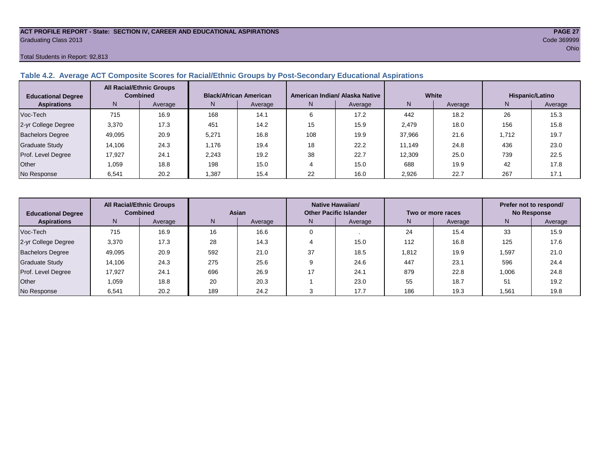#### **ACT PROFILE REPORT - State: SECTION IV, CAREER AND EDUCATIONAL ASPIRATIONS PAGE 27** Graduating Class 2013 Code 369999

#### Total Students in Report: 92,813

#### **Table 4.2. Average ACT Composite Scores for Racial/Ethnic Groups by Post-Secondary Educational Aspirations**

| <b>Educational Degree</b> | <b>All Racial/Ethnic Groups</b><br><b>Combined</b> |         | <b>Black/African American</b> |         | American Indian/ Alaska Native |      | White  |         | Hispanic/Latino |         |
|---------------------------|----------------------------------------------------|---------|-------------------------------|---------|--------------------------------|------|--------|---------|-----------------|---------|
| <b>Aspirations</b>        | N                                                  | Average | N.                            | Average | N<br>Average                   |      | N      | Average | N               | Average |
| Voc-Tech                  | 715                                                | 16.9    | 168                           | 14.1    | 6                              | 17.2 | 442    | 18.2    | 26              | 15.3    |
| 2-yr College Degree       | 3,370                                              | 17.3    | 451                           | 14.2    | 15                             | 15.9 | 2.479  | 18.0    | 156             | 15.8    |
| <b>Bachelors Degree</b>   | 49.095                                             | 20.9    | 5,271                         | 16.8    | 108                            | 19.9 | 37.966 | 21.6    | 1.712           | 19.7    |
| <b>Graduate Study</b>     | 14,106                                             | 24.3    | 1,176                         | 19.4    | 18                             | 22.2 | 11.149 | 24.8    | 436             | 23.0    |
| Prof. Level Degree        | 17.927                                             | 24.7    | 2.243                         | 19.2    | 38                             | 22.7 | 12.309 | 25.0    | 739             | 22.5    |
| Other                     | 1.059                                              | 18.8    | 198                           | 15.0    |                                | 15.0 | 688    | 19.9    | 42              | 17.8    |
| No Response               | 6,541                                              | 20.2    | .387                          | 15.4    | 22                             | 16.0 | 2,926  | 22.7    | 267             | 17.1    |

| <b>Educational Degree</b> | <b>All Racial/Ethnic Groups</b><br><b>Combined</b> |         | Asian |         |               | Native Hawaiian/<br><b>Other Pacific Islander</b> |               | Two or more races | Prefer not to respond/<br><b>No Response</b> |         |
|---------------------------|----------------------------------------------------|---------|-------|---------|---------------|---------------------------------------------------|---------------|-------------------|----------------------------------------------|---------|
| <b>Aspirations</b>        | N                                                  | Average | N     | Average | N.<br>Average |                                                   | N.            | Average           | N                                            | Average |
| Voc-Tech                  | 715                                                | 16.9    | 16    | 16.6    |               |                                                   | 24            | 15.4              | 33                                           | 15.9    |
| 2-yr College Degree       | 3,370                                              | 17.3    | 28    | 14.3    |               | 15.0                                              | 112           | 16.8              | 125                                          | 17.6    |
| <b>Bachelors Degree</b>   | 49,095                                             | 20.9    | 592   | 21.0    | 37            | 18.5                                              | 19.9<br>1,812 |                   | .597                                         | 21.0    |
| Graduate Study            | 14.106                                             | 24.3    | 275   | 25.6    |               | 24.6                                              | 447           | 23.1              | 596                                          | 24.4    |
| Prof. Level Degree        | 17.927                                             | 24.1    | 696   | 26.9    | 17            | 24.1                                              | 879           | 22.8              | 1,006                                        | 24.8    |
| Other                     | 1.059                                              | 18.8    | -20   | 20.3    |               | 23.0                                              | 55            | 18.7              | 51                                           | 19.2    |
| No Response               | 6,541                                              | 20.2    | 189   | 24.2    |               | 17.7                                              | 186           | 19.3              | .561                                         | 19.8    |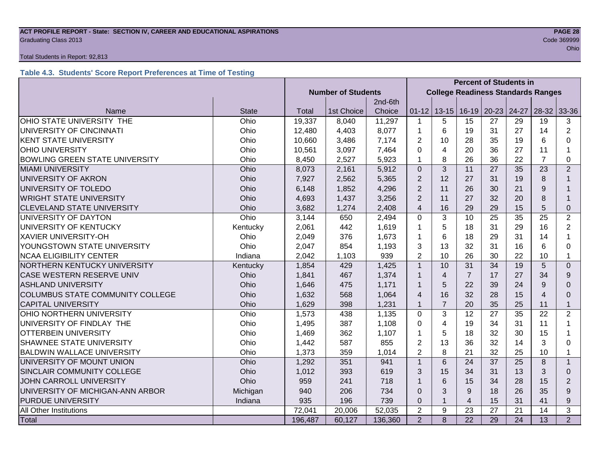#### **ACT PROFILE REPORT - State: SECTION IV, CAREER AND EDUCATIONAL ASPIRATIONS PAGE 28** Code 369999 Craduating Class 2013

#### Total Students in Report: 92,813

#### **Table 4.3. Students' Score Report Preferences at Time of Testing**

|                                         |              |                           | <b>Percent of Students in</b> |         |                                           |                |                |           |       |                |                |
|-----------------------------------------|--------------|---------------------------|-------------------------------|---------|-------------------------------------------|----------------|----------------|-----------|-------|----------------|----------------|
|                                         |              | <b>Number of Students</b> |                               |         | <b>College Readiness Standards Ranges</b> |                |                |           |       |                |                |
|                                         |              |                           |                               | 2nd-6th |                                           |                |                |           |       |                |                |
| Name                                    | <b>State</b> | Total                     | 1st Choice                    | Choice  | $01 - 12$                                 | $13 - 15$      | $16-19$        | $20 - 23$ | 24-27 | $28-32$        | 33-36          |
| OHIO STATE UNIVERSITY THE               | Ohio         | 19,337                    | 8,040                         | 11,297  | $\mathbf 1$                               | 5              | 15             | 27        | 29    | 19             | 3              |
| UNIVERSITY OF CINCINNATI                | Ohio         | 12,480                    | 4,403                         | 8,077   | $\mathbf{1}$                              | 6              | 19             | 31        | 27    | 14             | $\overline{2}$ |
| <b>KENT STATE UNIVERSITY</b>            | Ohio         | 10,660                    | 3,486                         | 7,174   | 2                                         | 10             | 28             | 35        | 19    | 6              | 0              |
| <b>OHIO UNIVERSITY</b>                  | Ohio         | 10,561                    | 3,097                         | 7,464   | 0                                         | $\overline{4}$ | 20             | 36        | 27    | 11             | 1              |
| <b>BOWLING GREEN STATE UNIVERSITY</b>   | Ohio         | 8,450                     | 2,527                         | 5,923   | 1                                         | 8              | 26             | 36        | 22    | $\overline{7}$ | 0              |
| <b>MIAMI UNIVERSITY</b>                 | Ohio         | 8,073                     | 2,161                         | 5,912   | $\mathbf{0}$                              | $\overline{3}$ | 11             | 27        | 35    | 23             | $\overline{2}$ |
| UNIVERSITY OF AKRON                     | Ohio         | 7,927                     | 2,562                         | 5,365   | $\overline{2}$                            | 12             | 27             | 31        | 19    | 8              |                |
| UNIVERSITY OF TOLEDO                    | Ohio         | 6,148                     | 1,852                         | 4,296   | $\overline{2}$                            | 11             | 26             | 30        | 21    | 9              |                |
| <b>WRIGHT STATE UNIVERSITY</b>          | Ohio         | 4,693                     | 1,437                         | 3,256   | $\overline{2}$                            | 11             | 27             | 32        | 20    | 8              |                |
| <b>CLEVELAND STATE UNIVERSITY</b>       | Ohio         | 3,682                     | 1,274                         | 2,408   | $\overline{4}$                            | 16             | 29             | 29        | 15    | 5              | 0              |
| UNIVERSITY OF DAYTON                    | Ohio         | 3,144                     | 650                           | 2,494   | $\mathbf 0$                               | 3              | 10             | 25        | 35    | 25             | $\overline{2}$ |
| UNIVERSITY OF KENTUCKY                  | Kentucky     | 2,061                     | 442                           | 1,619   | 1                                         | 5              | 18             | 31        | 29    | 16             | $\overline{2}$ |
| <b>XAVIER UNIVERSITY-OH</b>             | Ohio         | 2,049                     | 376                           | 1,673   | 1                                         | 6              | 18             | 29        | 31    | 14             | 1              |
| YOUNGSTOWN STATE UNIVERSITY             | Ohio         | 2,047                     | 854                           | 1,193   | 3                                         | 13             | 32             | 31        | 16    | 6              | $\Omega$       |
| <b>NCAA ELIGIBILITY CENTER</b>          | Indiana      | 2,042                     | 1,103                         | 939     | $\overline{2}$                            | 10             | 26             | 30        | 22    | 10             | $\mathbf{1}$   |
| NORTHERN KENTUCKY UNIVERSITY            | Kentucky     | 1,854                     | 429                           | 1,425   | 1                                         | 10             | 31             | 34        | 19    | 5              | $\Omega$       |
| CASE WESTERN RESERVE UNIV               | Ohio         | 1,841                     | 467                           | 1,374   |                                           | $\overline{4}$ | $\overline{7}$ | 17        | 27    | 34             | 9              |
| <b>ASHLAND UNIVERSITY</b>               | Ohio         | 1,646                     | 475                           | 1,171   | 1                                         | 5              | 22             | 39        | 24    | 9              | $\Omega$       |
| <b>COLUMBUS STATE COMMUNITY COLLEGE</b> | Ohio         | 1,632                     | 568                           | 1,064   | 4                                         | 16             | 32             | 28        | 15    | $\overline{4}$ | 0              |
| <b>CAPITAL UNIVERSITY</b>               | Ohio         | 1,629                     | 398                           | 1,231   | $\mathbf 1$                               | $\overline{7}$ | 20             | 35        | 25    | 11             | $\mathbf{1}$   |
| OHIO NORTHERN UNIVERSITY                | Ohio         | 1,573                     | 438                           | 1,135   | $\mathbf 0$                               | 3              | 12             | 27        | 35    | 22             | $\overline{2}$ |
| UNIVERSITY OF FINDLAY THE               | Ohio         | 1,495                     | 387                           | 1,108   | 0                                         | $\overline{4}$ | 19             | 34        | 31    | 11             |                |
| <b>OTTERBEIN UNIVERSITY</b>             | Ohio         | 1,469                     | 362                           | 1,107   | 1                                         | 5              | 18             | 32        | 30    | 15             |                |
| <b>SHAWNEE STATE UNIVERSITY</b>         | Ohio         | 1,442                     | 587                           | 855     | $\overline{2}$                            | 13             | 36             | 32        | 14    | 3              | $\Omega$       |
| <b>BALDWIN WALLACE UNIVERSITY</b>       | Ohio         | 1,373                     | 359                           | 1,014   | $\overline{2}$                            | 8              | 21             | 32        | 25    | 10             | 1              |
| UNIVERSITY OF MOUNT UNION               | Ohio         | 1,292                     | 351                           | 941     | $\mathbf{1}$                              | 6              | 24             | 37        | 25    | 8              | $\mathbf{1}$   |
| SINCLAIR COMMUNITY COLLEGE              | Ohio         | 1,012                     | 393                           | 619     | 3                                         | 15             | 34             | 31        | 13    | 3              | $\Omega$       |
| JOHN CARROLL UNIVERSITY                 | Ohio         | 959                       | 241                           | 718     |                                           | 6              | 15             | 34        | 28    | 15             | $\overline{2}$ |
| UNIVERSITY OF MICHIGAN-ANN ARBOR        | Michigan     |                           | 206                           | 734     | $\Omega$                                  | 3              | 9              | 18        | 26    | 35             | 9              |
| <b>PURDUE UNIVERSITY</b>                | Indiana      | 935                       | 196                           | 739     | $\mathbf 0$                               | $\mathbf{1}$   | $\overline{4}$ | 15        | 31    | 41             | 9              |
| All Other Institutions                  |              | 72,041                    | 20,006                        | 52,035  | $\overline{2}$                            | 9              | 23             | 27        | 21    | 14             | 3              |
| Total                                   |              | 196,487                   | 60,127                        | 136,360 | $\overline{2}$                            | 8              | 22             | 29        | 24    | 13             | $\overline{2}$ |

ohio and the contract of the contract of the contract of the contract of the contract of the contract of the contract of the contract of the contract of the contract of the contract of the contract of the contract of the c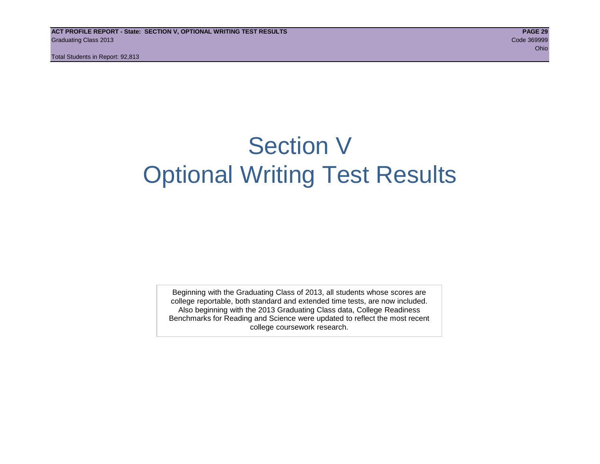## Section V Optional Writing Test Results

Beginning with the Graduating Class of 2013, all students whose scores are college reportable, both standard and extended time tests, are now included. Also beginning with the 2013 Graduating Class data, College Readiness Benchmarks for Reading and Science were updated to reflect the most recent college coursework research.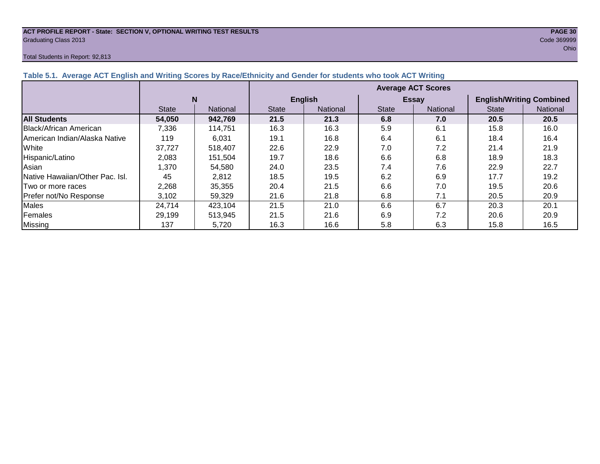## **ACT PROFILE REPORT - State: SECTION V, OPTIONAL WRITING TEST RESULTS PAGE 30** Graduating Class 2013 Code 369999

#### Total Students in Report: 92,813

| Table 5.1. Average ACT English and Writing Scores by Race/Ethnicity and Gender for students who took ACT Writing |              |                 |                           |                 |              |                 |                                 |          |  |  |  |
|------------------------------------------------------------------------------------------------------------------|--------------|-----------------|---------------------------|-----------------|--------------|-----------------|---------------------------------|----------|--|--|--|
|                                                                                                                  |              |                 | <b>Average ACT Scores</b> |                 |              |                 |                                 |          |  |  |  |
|                                                                                                                  |              | N               |                           | <b>English</b>  |              | <b>Essay</b>    | <b>English/Writing Combined</b> |          |  |  |  |
|                                                                                                                  | <b>State</b> | <b>National</b> | <b>State</b>              | <b>National</b> | <b>State</b> | <b>National</b> | <b>State</b>                    | National |  |  |  |
| <b>All Students</b>                                                                                              | 54,050       | 942,769         | 21.5                      | 21.3            | 6.8          | 7.0             | 20.5                            | 20.5     |  |  |  |
| Black/African American                                                                                           | 7.336        | 114.751         | 16.3                      | 16.3            | 5.9          | 6.1             | 15.8                            | 16.0     |  |  |  |
| American Indian/Alaska Native                                                                                    | 119          | 6.031           | 19.1                      | 16.8            | 6.4          | 6.1             | 18.4                            | 16.4     |  |  |  |
| White                                                                                                            | 37,727       | 518.407         | 22.6                      | 22.9            | 7.0          | 7.2             | 21.4                            | 21.9     |  |  |  |
| Hispanic/Latino                                                                                                  | 2.083        | 151.504         | 19.7                      | 18.6            | 6.6          | 6.8             | 18.9                            | 18.3     |  |  |  |
| Asian                                                                                                            | 1.370        | 54.580          | 24.0                      | 23.5            | 7.4          | 7.6             | 22.9                            | 22.7     |  |  |  |
| Native Hawaiian/Other Pac. Isl.                                                                                  | 45           | 2,812           | 18.5                      | 19.5            | 6.2          | 6.9             | 17.7                            | 19.2     |  |  |  |
| Two or more races                                                                                                | 2,268        | 35,355          | 20.4                      | 21.5            | 6.6          | 7.0             | 19.5                            | 20.6     |  |  |  |
| Prefer not/No Response                                                                                           | 3,102        | 59,329          | 21.6                      | 21.8            | 6.8          | 7.1             | 20.5                            | 20.9     |  |  |  |
| Males                                                                                                            | 24,714       | 423,104         | 21.5                      | 21.0            | 6.6          | 6.7             | 20.3                            | 20.1     |  |  |  |

Females 29,199 513,945 21.5 21.6 6.9 7.2 20.6 20.9 Missing | 137 | 5,720 | 16.3 | 16.6 | 5.8 | 6.3 | 15.8 | 16.5

#### **Table 5.1. Average ACT English and Writing Scores by Race/Ethnicity and Gender for students who took ACT Writing**